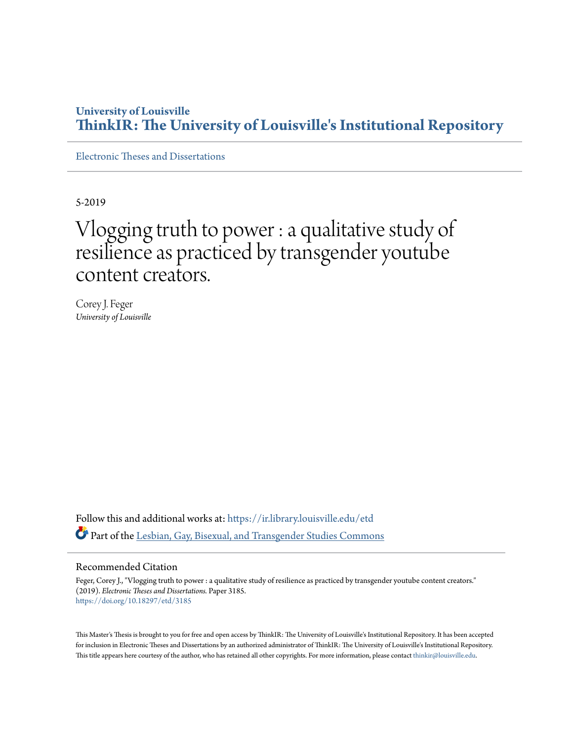# **University of Louisville [ThinkIR: The University of Louisville's Institutional Repository](https://ir.library.louisville.edu/?utm_source=ir.library.louisville.edu%2Fetd%2F3185&utm_medium=PDF&utm_campaign=PDFCoverPages)**

[Electronic Theses and Dissertations](https://ir.library.louisville.edu/etd?utm_source=ir.library.louisville.edu%2Fetd%2F3185&utm_medium=PDF&utm_campaign=PDFCoverPages)

5-2019

# Vlogging truth to power : a qualitative study of resilience as practiced by transgender youtube content creators.

Corey J. Feger *University of Louisville*

Follow this and additional works at: [https://ir.library.louisville.edu/etd](https://ir.library.louisville.edu/etd?utm_source=ir.library.louisville.edu%2Fetd%2F3185&utm_medium=PDF&utm_campaign=PDFCoverPages) Part of the [Lesbian, Gay, Bisexual, and Transgender Studies Commons](http://network.bepress.com/hgg/discipline/560?utm_source=ir.library.louisville.edu%2Fetd%2F3185&utm_medium=PDF&utm_campaign=PDFCoverPages)

## Recommended Citation

Feger, Corey J., "Vlogging truth to power : a qualitative study of resilience as practiced by transgender youtube content creators." (2019). *Electronic Theses and Dissertations.* Paper 3185. <https://doi.org/10.18297/etd/3185>

This Master's Thesis is brought to you for free and open access by ThinkIR: The University of Louisville's Institutional Repository. It has been accepted for inclusion in Electronic Theses and Dissertations by an authorized administrator of ThinkIR: The University of Louisville's Institutional Repository. This title appears here courtesy of the author, who has retained all other copyrights. For more information, please contact [thinkir@louisville.edu](mailto:thinkir@louisville.edu).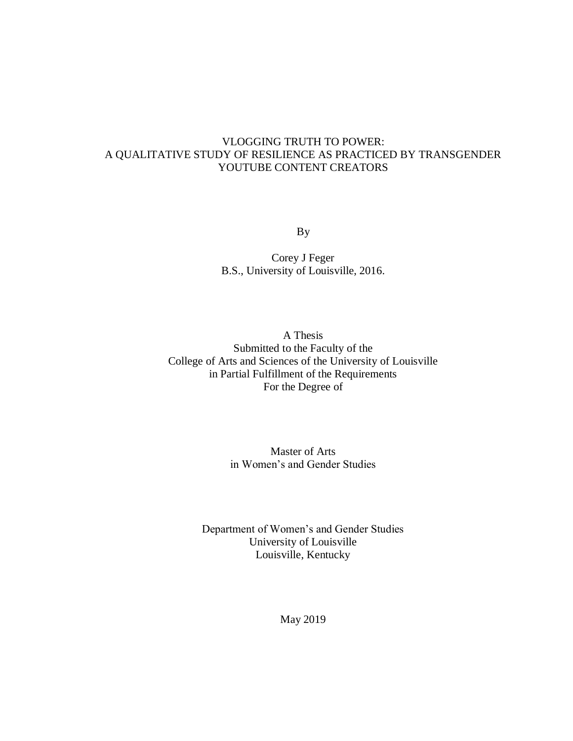# VLOGGING TRUTH TO POWER: A QUALITATIVE STUDY OF RESILIENCE AS PRACTICED BY TRANSGENDER YOUTUBE CONTENT CREATORS

By

Corey J Feger B.S., University of Louisville, 2016.

A Thesis Submitted to the Faculty of the College of Arts and Sciences of the University of Louisville in Partial Fulfillment of the Requirements For the Degree of

> Master of Arts in Women's and Gender Studies

Department of Women's and Gender Studies University of Louisville Louisville, Kentucky

May 2019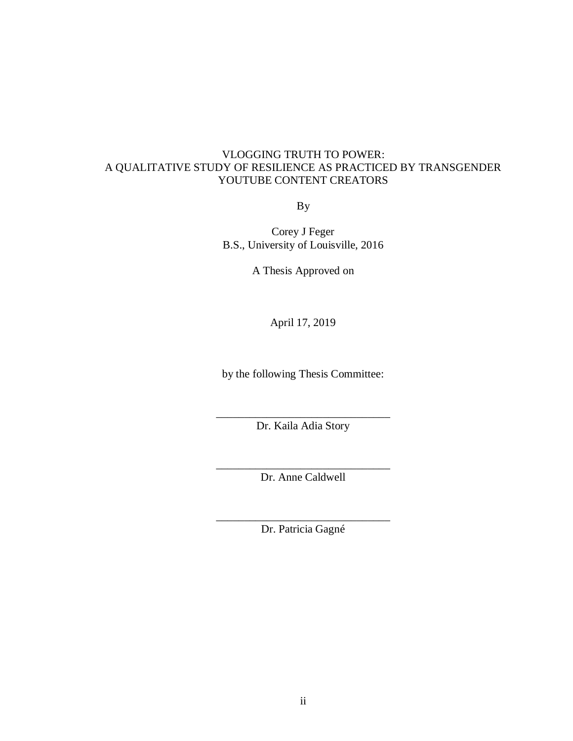# VLOGGING TRUTH TO POWER: A QUALITATIVE STUDY OF RESILIENCE AS PRACTICED BY TRANSGENDER YOUTUBE CONTENT CREATORS

By

Corey J Feger B.S., University of Louisville, 2016

A Thesis Approved on

April 17, 2019

by the following Thesis Committee:

\_\_\_\_\_\_\_\_\_\_\_\_\_\_\_\_\_\_\_\_\_\_\_\_\_\_\_\_\_\_\_ Dr. Kaila Adia Story

\_\_\_\_\_\_\_\_\_\_\_\_\_\_\_\_\_\_\_\_\_\_\_\_\_\_\_\_\_\_\_ Dr. Anne Caldwell

\_\_\_\_\_\_\_\_\_\_\_\_\_\_\_\_\_\_\_\_\_\_\_\_\_\_\_\_\_\_\_ Dr. Patricia Gagné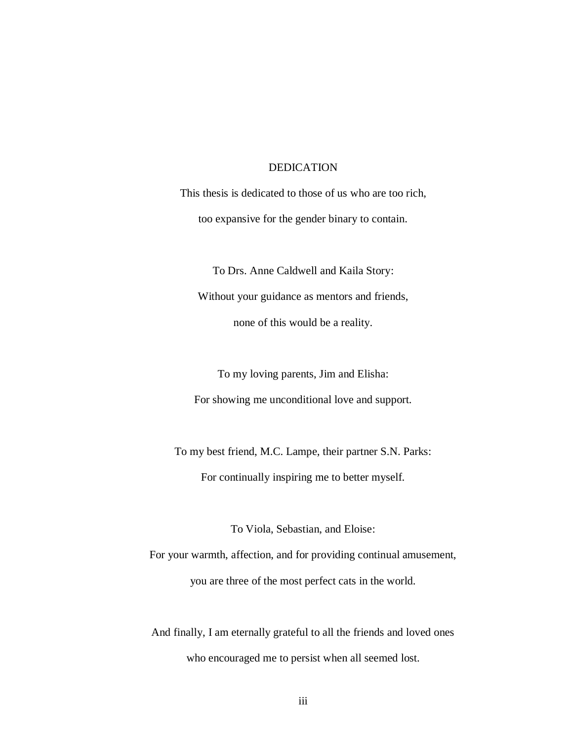## DEDICATION

This thesis is dedicated to those of us who are too rich, too expansive for the gender binary to contain.

To Drs. Anne Caldwell and Kaila Story: Without your guidance as mentors and friends, none of this would be a reality.

To my loving parents, Jim and Elisha: For showing me unconditional love and support.

To my best friend, M.C. Lampe, their partner S.N. Parks: For continually inspiring me to better myself.

To Viola, Sebastian, and Eloise:

For your warmth, affection, and for providing continual amusement, you are three of the most perfect cats in the world.

And finally, I am eternally grateful to all the friends and loved ones who encouraged me to persist when all seemed lost.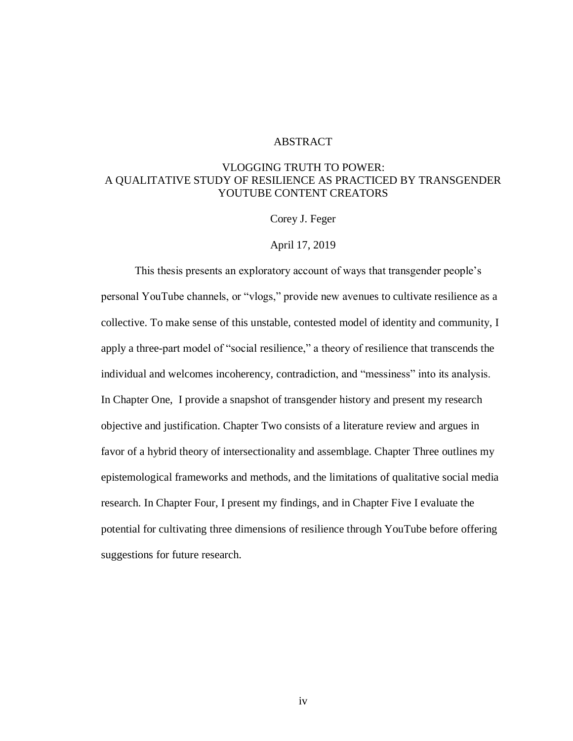## ABSTRACT

# VLOGGING TRUTH TO POWER: A QUALITATIVE STUDY OF RESILIENCE AS PRACTICED BY TRANSGENDER YOUTUBE CONTENT CREATORS

Corey J. Feger

## April 17, 2019

This thesis presents an exploratory account of ways that transgender people's personal YouTube channels, or "vlogs," provide new avenues to cultivate resilience as a collective. To make sense of this unstable, contested model of identity and community, I apply a three-part model of "social resilience," a theory of resilience that transcends the individual and welcomes incoherency, contradiction, and "messiness" into its analysis. In Chapter One, I provide a snapshot of transgender history and present my research objective and justification. Chapter Two consists of a literature review and argues in favor of a hybrid theory of intersectionality and assemblage. Chapter Three outlines my epistemological frameworks and methods, and the limitations of qualitative social media research. In Chapter Four, I present my findings, and in Chapter Five I evaluate the potential for cultivating three dimensions of resilience through YouTube before offering suggestions for future research.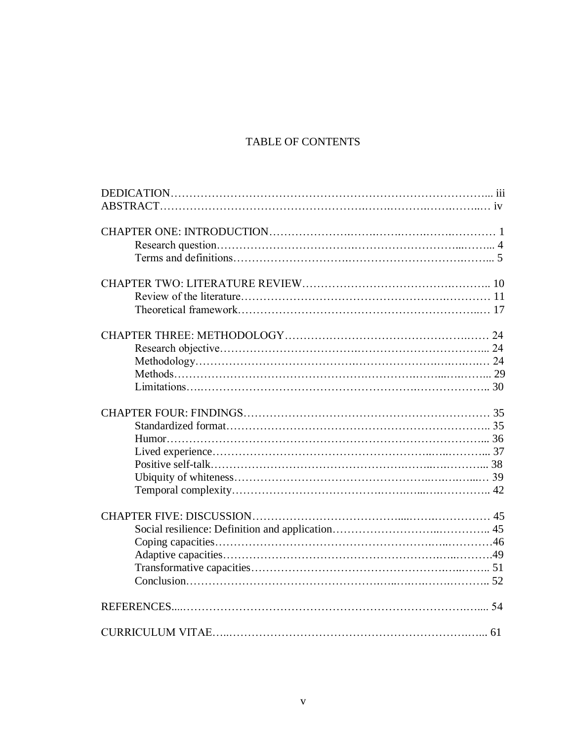# TABLE OF CONTENTS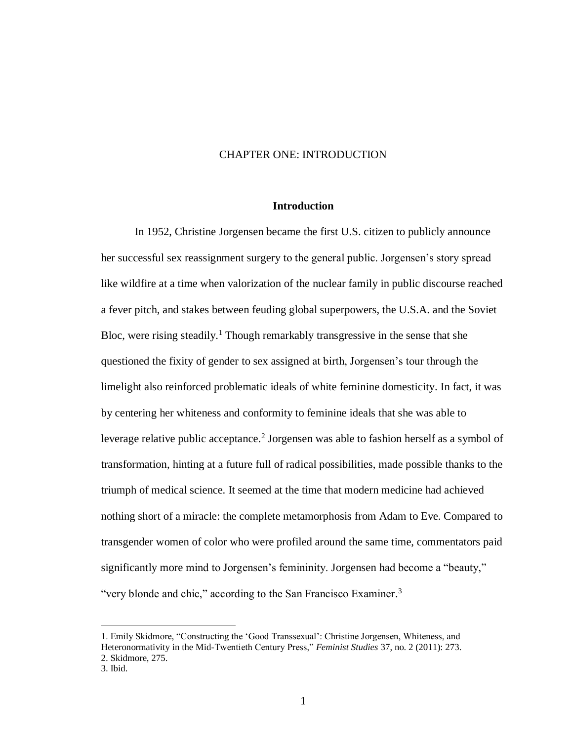## CHAPTER ONE: INTRODUCTION

## **Introduction**

In 1952, Christine Jorgensen became the first U.S. citizen to publicly announce her successful sex reassignment surgery to the general public. Jorgensen's story spread like wildfire at a time when valorization of the nuclear family in public discourse reached a fever pitch, and stakes between feuding global superpowers, the U.S.A. and the Soviet Bloc, were rising steadily.<sup>1</sup> Though remarkably transgressive in the sense that she questioned the fixity of gender to sex assigned at birth, Jorgensen's tour through the limelight also reinforced problematic ideals of white feminine domesticity. In fact, it was by centering her whiteness and conformity to feminine ideals that she was able to leverage relative public acceptance. 2 Jorgensen was able to fashion herself as a symbol of transformation, hinting at a future full of radical possibilities, made possible thanks to the triumph of medical science. It seemed at the time that modern medicine had achieved nothing short of a miracle: the complete metamorphosis from Adam to Eve. Compared to transgender women of color who were profiled around the same time, commentators paid significantly more mind to Jorgensen's femininity. Jorgensen had become a "beauty," "very blonde and chic," according to the San Francisco Examiner.<sup>3</sup>

<sup>1.</sup> Emily Skidmore, "Constructing the 'Good Transsexual': Christine Jorgensen, Whiteness, and Heteronormativity in the Mid-Twentieth Century Press," *Feminist Studies* 37, no. 2 (2011): 273. 2. Skidmore, 275.

<sup>3.</sup> Ibid.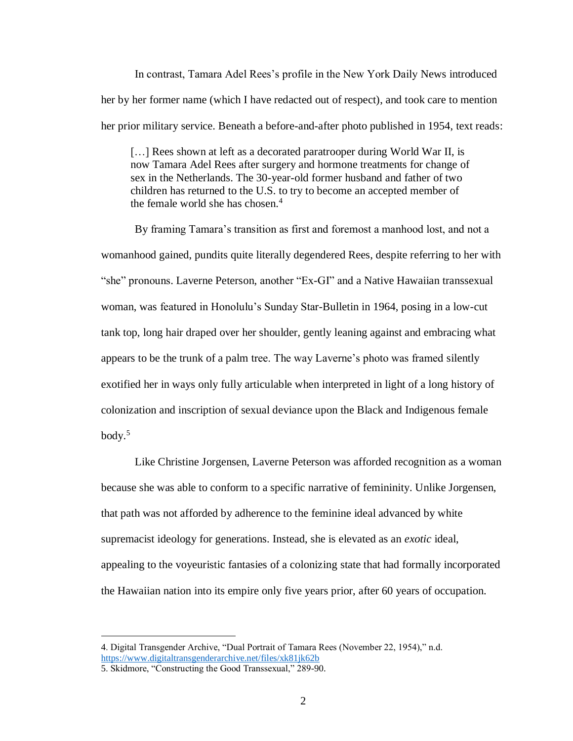In contrast, Tamara Adel Rees's profile in the New York Daily News introduced her by her former name (which I have redacted out of respect), and took care to mention her prior military service. Beneath a before-and-after photo published in 1954, text reads:

[...] Rees shown at left as a decorated paratrooper during World War II, is now Tamara Adel Rees after surgery and hormone treatments for change of sex in the Netherlands. The 30-year-old former husband and father of two children has returned to the U.S. to try to become an accepted member of the female world she has chosen.<sup>4</sup>

By framing Tamara's transition as first and foremost a manhood lost, and not a womanhood gained, pundits quite literally degendered Rees, despite referring to her with "she" pronouns. Laverne Peterson, another "Ex-GI" and a Native Hawaiian transsexual woman, was featured in Honolulu's Sunday Star-Bulletin in 1964, posing in a low-cut tank top, long hair draped over her shoulder, gently leaning against and embracing what appears to be the trunk of a palm tree. The way Laverne's photo was framed silently exotified her in ways only fully articulable when interpreted in light of a long history of colonization and inscription of sexual deviance upon the Black and Indigenous female body. 5

Like Christine Jorgensen, Laverne Peterson was afforded recognition as a woman because she was able to conform to a specific narrative of femininity. Unlike Jorgensen, that path was not afforded by adherence to the feminine ideal advanced by white supremacist ideology for generations. Instead, she is elevated as an *exotic* ideal, appealing to the voyeuristic fantasies of a colonizing state that had formally incorporated the Hawaiian nation into its empire only five years prior, after 60 years of occupation.

<sup>4.</sup> Digital Transgender Archive, "Dual Portrait of Tamara Rees (November 22, 1954)," n.d. <https://www.digitaltransgenderarchive.net/files/xk81jk62b>

<sup>5.</sup> Skidmore, "Constructing the Good Transsexual," 289-90.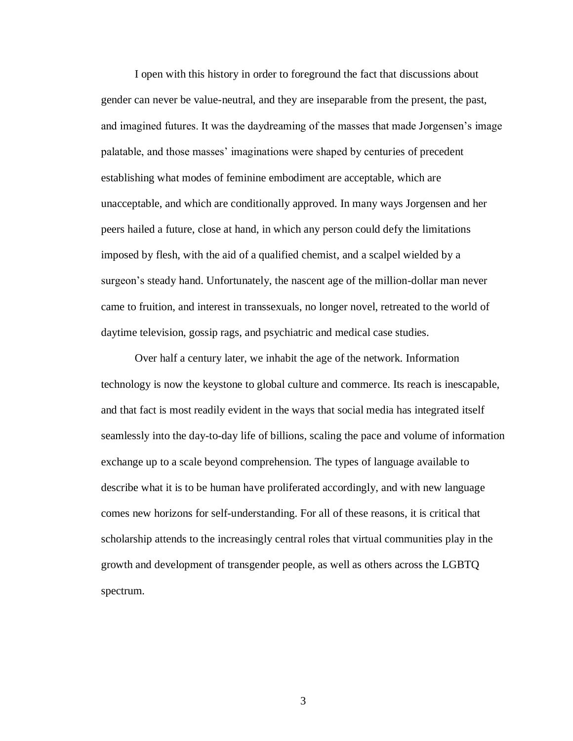I open with this history in order to foreground the fact that discussions about gender can never be value-neutral, and they are inseparable from the present, the past, and imagined futures. It was the daydreaming of the masses that made Jorgensen's image palatable, and those masses' imaginations were shaped by centuries of precedent establishing what modes of feminine embodiment are acceptable, which are unacceptable, and which are conditionally approved. In many ways Jorgensen and her peers hailed a future, close at hand, in which any person could defy the limitations imposed by flesh, with the aid of a qualified chemist, and a scalpel wielded by a surgeon's steady hand. Unfortunately, the nascent age of the million-dollar man never came to fruition, and interest in transsexuals, no longer novel, retreated to the world of daytime television, gossip rags, and psychiatric and medical case studies.

Over half a century later, we inhabit the age of the network. Information technology is now the keystone to global culture and commerce. Its reach is inescapable, and that fact is most readily evident in the ways that social media has integrated itself seamlessly into the day-to-day life of billions, scaling the pace and volume of information exchange up to a scale beyond comprehension. The types of language available to describe what it is to be human have proliferated accordingly, and with new language comes new horizons for self-understanding. For all of these reasons, it is critical that scholarship attends to the increasingly central roles that virtual communities play in the growth and development of transgender people, as well as others across the LGBTQ spectrum.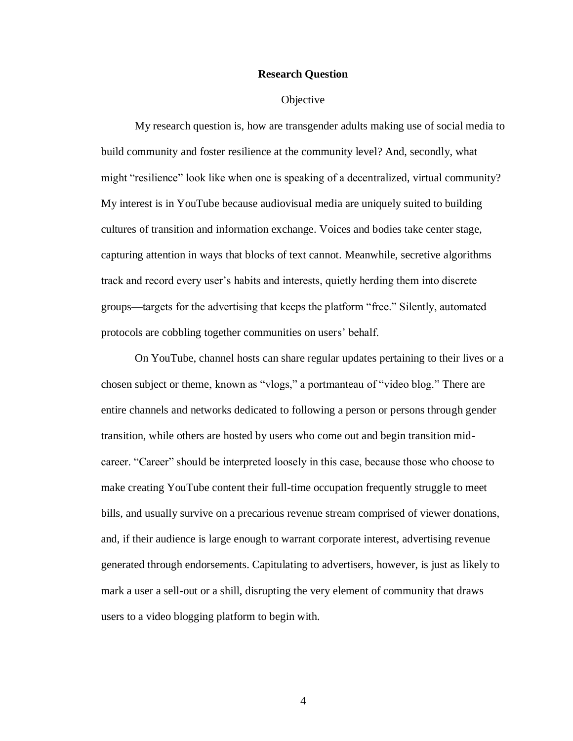#### **Research Question**

#### **Objective**

My research question is, how are transgender adults making use of social media to build community and foster resilience at the community level? And, secondly, what might "resilience" look like when one is speaking of a decentralized, virtual community? My interest is in YouTube because audiovisual media are uniquely suited to building cultures of transition and information exchange. Voices and bodies take center stage, capturing attention in ways that blocks of text cannot. Meanwhile, secretive algorithms track and record every user's habits and interests, quietly herding them into discrete groups—targets for the advertising that keeps the platform "free." Silently, automated protocols are cobbling together communities on users' behalf.

On YouTube, channel hosts can share regular updates pertaining to their lives or a chosen subject or theme, known as "vlogs," a portmanteau of "video blog." There are entire channels and networks dedicated to following a person or persons through gender transition, while others are hosted by users who come out and begin transition midcareer. "Career" should be interpreted loosely in this case, because those who choose to make creating YouTube content their full-time occupation frequently struggle to meet bills, and usually survive on a precarious revenue stream comprised of viewer donations, and, if their audience is large enough to warrant corporate interest, advertising revenue generated through endorsements. Capitulating to advertisers, however, is just as likely to mark a user a sell-out or a shill, disrupting the very element of community that draws users to a video blogging platform to begin with.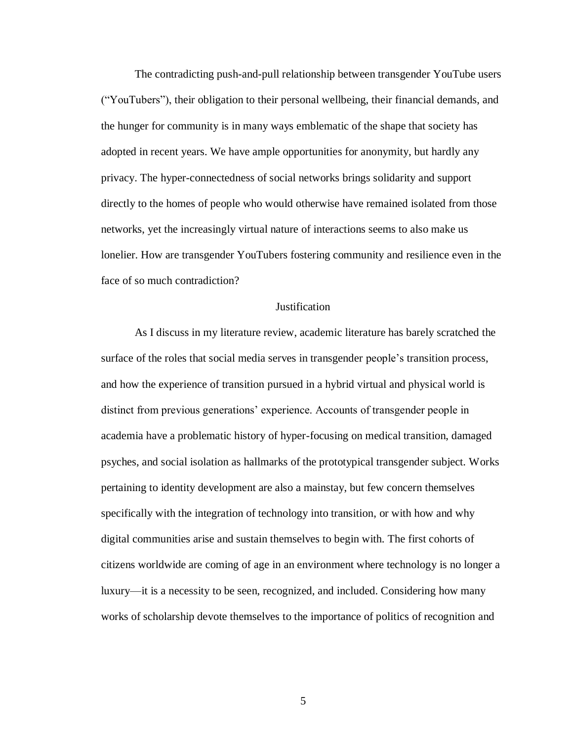The contradicting push-and-pull relationship between transgender YouTube users ("YouTubers"), their obligation to their personal wellbeing, their financial demands, and the hunger for community is in many ways emblematic of the shape that society has adopted in recent years. We have ample opportunities for anonymity, but hardly any privacy. The hyper-connectedness of social networks brings solidarity and support directly to the homes of people who would otherwise have remained isolated from those networks, yet the increasingly virtual nature of interactions seems to also make us lonelier. How are transgender YouTubers fostering community and resilience even in the face of so much contradiction?

#### Justification

As I discuss in my literature review, academic literature has barely scratched the surface of the roles that social media serves in transgender people's transition process, and how the experience of transition pursued in a hybrid virtual and physical world is distinct from previous generations' experience. Accounts of transgender people in academia have a problematic history of hyper-focusing on medical transition, damaged psyches, and social isolation as hallmarks of the prototypical transgender subject. Works pertaining to identity development are also a mainstay, but few concern themselves specifically with the integration of technology into transition, or with how and why digital communities arise and sustain themselves to begin with. The first cohorts of citizens worldwide are coming of age in an environment where technology is no longer a luxury—it is a necessity to be seen, recognized, and included. Considering how many works of scholarship devote themselves to the importance of politics of recognition and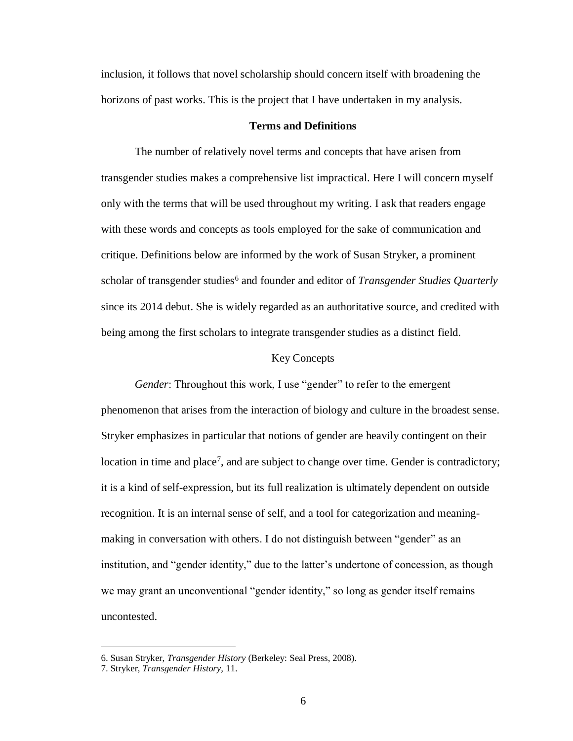inclusion, it follows that novel scholarship should concern itself with broadening the horizons of past works. This is the project that I have undertaken in my analysis.

#### **Terms and Definitions**

The number of relatively novel terms and concepts that have arisen from transgender studies makes a comprehensive list impractical. Here I will concern myself only with the terms that will be used throughout my writing. I ask that readers engage with these words and concepts as tools employed for the sake of communication and critique. Definitions below are informed by the work of Susan Stryker, a prominent scholar of transgender studies<sup>6</sup> and founder and editor of *Transgender Studies Quarterly* since its 2014 debut. She is widely regarded as an authoritative source, and credited with being among the first scholars to integrate transgender studies as a distinct field.

#### Key Concepts

*Gender*: Throughout this work, I use "gender" to refer to the emergent phenomenon that arises from the interaction of biology and culture in the broadest sense. Stryker emphasizes in particular that notions of gender are heavily contingent on their location in time and place<sup>7</sup>, and are subject to change over time. Gender is contradictory; it is a kind of self-expression, but its full realization is ultimately dependent on outside recognition. It is an internal sense of self, and a tool for categorization and meaningmaking in conversation with others. I do not distinguish between "gender" as an institution, and "gender identity," due to the latter's undertone of concession, as though we may grant an unconventional "gender identity," so long as gender itself remains uncontested.

<sup>6.</sup> Susan Stryker, *Transgender History* (Berkeley: Seal Press, 2008).

<sup>7.</sup> Stryker, *Transgender History,* 11.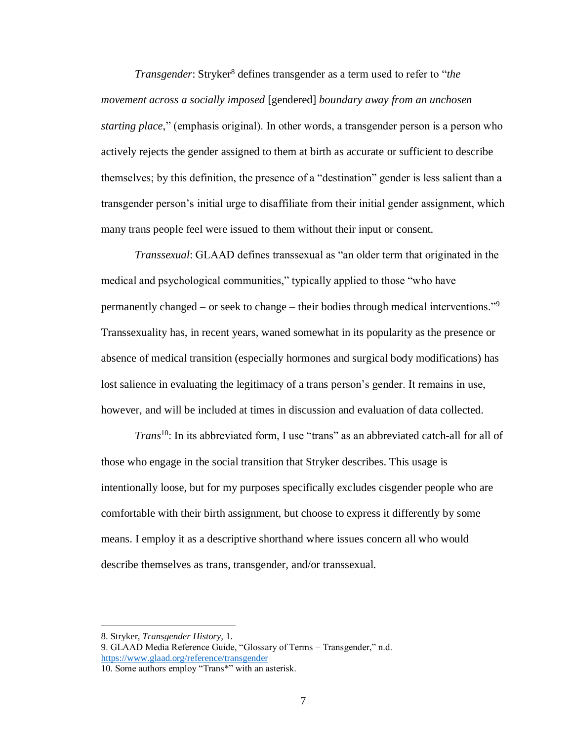*Transgender*: Stryker<sup>8</sup> defines transgender as a term used to refer to "*the movement across a socially imposed* [gendered] *boundary away from an unchosen starting place*," (emphasis original). In other words, a transgender person is a person who actively rejects the gender assigned to them at birth as accurate or sufficient to describe themselves; by this definition, the presence of a "destination" gender is less salient than a transgender person's initial urge to disaffiliate from their initial gender assignment, which many trans people feel were issued to them without their input or consent.

*Transsexual*: GLAAD defines transsexual as "an older term that originated in the medical and psychological communities," typically applied to those "who have permanently changed – or seek to change – their bodies through medical interventions."<sup>9</sup> Transsexuality has, in recent years, waned somewhat in its popularity as the presence or absence of medical transition (especially hormones and surgical body modifications) has lost salience in evaluating the legitimacy of a trans person's gender. It remains in use, however, and will be included at times in discussion and evaluation of data collected.

*Trans*<sup>10</sup>: In its abbreviated form, I use "trans" as an abbreviated catch-all for all of those who engage in the social transition that Stryker describes. This usage is intentionally loose, but for my purposes specifically excludes cisgender people who are comfortable with their birth assignment, but choose to express it differently by some means. I employ it as a descriptive shorthand where issues concern all who would describe themselves as trans, transgender, and/or transsexual.

<sup>8.</sup> Stryker, *Transgender History,* 1.

<sup>9.</sup> GLAAD Media Reference Guide, "Glossary of Terms – Transgender," n.d. <https://www.glaad.org/reference/transgender>

<sup>10.</sup> Some authors employ "Trans\*" with an asterisk.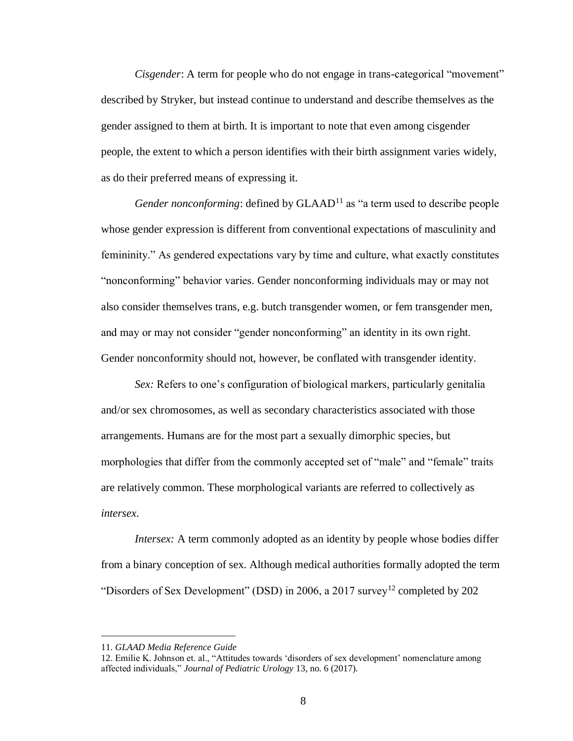*Cisgender*: A term for people who do not engage in trans-categorical "movement" described by Stryker, but instead continue to understand and describe themselves as the gender assigned to them at birth. It is important to note that even among cisgender people, the extent to which a person identifies with their birth assignment varies widely, as do their preferred means of expressing it.

*Gender nonconforming*: defined by GLAAD<sup>11</sup> as "a term used to describe people whose gender expression is different from conventional expectations of masculinity and femininity." As gendered expectations vary by time and culture, what exactly constitutes "nonconforming" behavior varies. Gender nonconforming individuals may or may not also consider themselves trans, e.g. butch transgender women, or fem transgender men, and may or may not consider "gender nonconforming" an identity in its own right. Gender nonconformity should not, however, be conflated with transgender identity.

*Sex:* Refers to one's configuration of biological markers, particularly genitalia and/or sex chromosomes, as well as secondary characteristics associated with those arrangements. Humans are for the most part a sexually dimorphic species, but morphologies that differ from the commonly accepted set of "male" and "female" traits are relatively common. These morphological variants are referred to collectively as *intersex*.

*Intersex:* A term commonly adopted as an identity by people whose bodies differ from a binary conception of sex. Although medical authorities formally adopted the term "Disorders of Sex Development" (DSD) in 2006, a 2017 survey<sup>12</sup> completed by 202

<sup>11.</sup> *GLAAD Media Reference Guide*

<sup>12.</sup> Emilie K. Johnson et. al., "Attitudes towards 'disorders of sex development' nomenclature among affected individuals," *Journal of Pediatric Urology* 13, no. 6 (2017).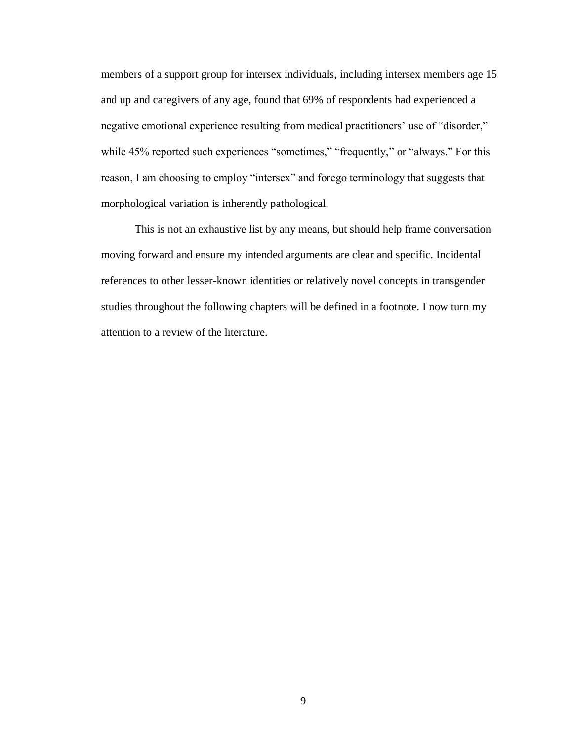members of a support group for intersex individuals, including intersex members age 15 and up and caregivers of any age, found that 69% of respondents had experienced a negative emotional experience resulting from medical practitioners' use of "disorder," while 45% reported such experiences "sometimes," "frequently," or "always." For this reason, I am choosing to employ "intersex" and forego terminology that suggests that morphological variation is inherently pathological.

This is not an exhaustive list by any means, but should help frame conversation moving forward and ensure my intended arguments are clear and specific. Incidental references to other lesser-known identities or relatively novel concepts in transgender studies throughout the following chapters will be defined in a footnote. I now turn my attention to a review of the literature.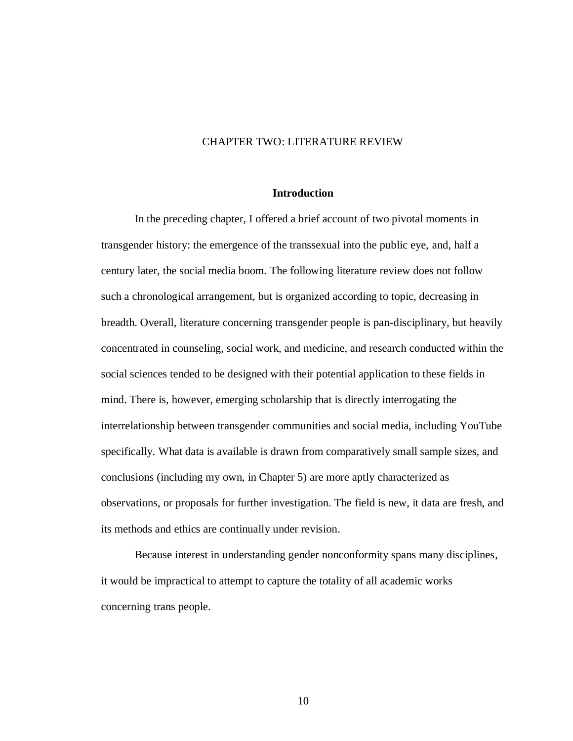#### CHAPTER TWO: LITERATURE REVIEW

#### **Introduction**

In the preceding chapter, I offered a brief account of two pivotal moments in transgender history: the emergence of the transsexual into the public eye, and, half a century later, the social media boom. The following literature review does not follow such a chronological arrangement, but is organized according to topic, decreasing in breadth. Overall, literature concerning transgender people is pan-disciplinary, but heavily concentrated in counseling, social work, and medicine, and research conducted within the social sciences tended to be designed with their potential application to these fields in mind. There is, however, emerging scholarship that is directly interrogating the interrelationship between transgender communities and social media, including YouTube specifically. What data is available is drawn from comparatively small sample sizes, and conclusions (including my own, in Chapter 5) are more aptly characterized as observations, or proposals for further investigation. The field is new, it data are fresh, and its methods and ethics are continually under revision.

Because interest in understanding gender nonconformity spans many disciplines, it would be impractical to attempt to capture the totality of all academic works concerning trans people.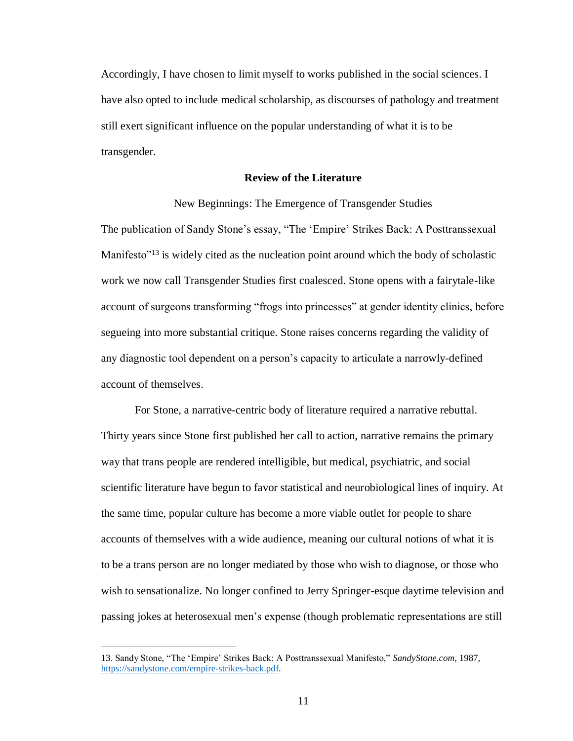Accordingly, I have chosen to limit myself to works published in the social sciences. I have also opted to include medical scholarship, as discourses of pathology and treatment still exert significant influence on the popular understanding of what it is to be transgender.

#### **Review of the Literature**

New Beginnings: The Emergence of Transgender Studies

The publication of Sandy Stone's essay, "The 'Empire' Strikes Back: A Posttranssexual Manifesto<sup>"13</sup> is widely cited as the nucleation point around which the body of scholastic work we now call Transgender Studies first coalesced. Stone opens with a fairytale-like account of surgeons transforming "frogs into princesses" at gender identity clinics, before segueing into more substantial critique. Stone raises concerns regarding the validity of any diagnostic tool dependent on a person's capacity to articulate a narrowly-defined account of themselves.

For Stone, a narrative-centric body of literature required a narrative rebuttal. Thirty years since Stone first published her call to action, narrative remains the primary way that trans people are rendered intelligible, but medical, psychiatric, and social scientific literature have begun to favor statistical and neurobiological lines of inquiry. At the same time, popular culture has become a more viable outlet for people to share accounts of themselves with a wide audience, meaning our cultural notions of what it is to be a trans person are no longer mediated by those who wish to diagnose, or those who wish to sensationalize. No longer confined to Jerry Springer-esque daytime television and passing jokes at heterosexual men's expense (though problematic representations are still

<sup>13.</sup> Sandy Stone, "The 'Empire' Strikes Back: A Posttranssexual Manifesto," *SandyStone.com*, 1987, [https://sandystone.com/empire-strikes-back.pdf.](https://sandystone.com/empire-strikes-back.pdf)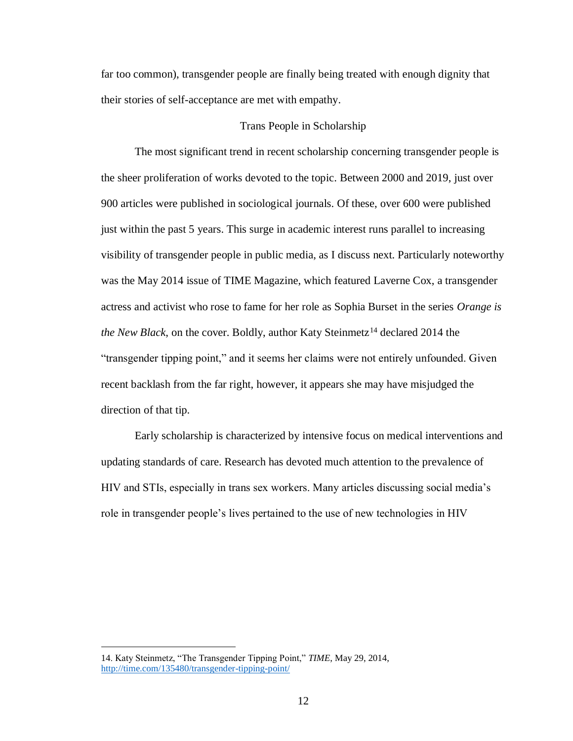far too common), transgender people are finally being treated with enough dignity that their stories of self-acceptance are met with empathy.

## Trans People in Scholarship

The most significant trend in recent scholarship concerning transgender people is the sheer proliferation of works devoted to the topic. Between 2000 and 2019, just over 900 articles were published in sociological journals. Of these, over 600 were published just within the past 5 years. This surge in academic interest runs parallel to increasing visibility of transgender people in public media, as I discuss next. Particularly noteworthy was the May 2014 issue of TIME Magazine, which featured Laverne Cox, a transgender actress and activist who rose to fame for her role as Sophia Burset in the series *Orange is the New Black*, on the cover. Boldly, author Katy Steinmetz<sup>14</sup> declared 2014 the "transgender tipping point," and it seems her claims were not entirely unfounded. Given recent backlash from the far right, however, it appears she may have misjudged the direction of that tip.

Early scholarship is characterized by intensive focus on medical interventions and updating standards of care. Research has devoted much attention to the prevalence of HIV and STIs, especially in trans sex workers. Many articles discussing social media's role in transgender people's lives pertained to the use of new technologies in HIV

<sup>14.</sup> Katy Steinmetz, "The Transgender Tipping Point," *TIME*, May 29, 2014, <http://time.com/135480/transgender-tipping-point/>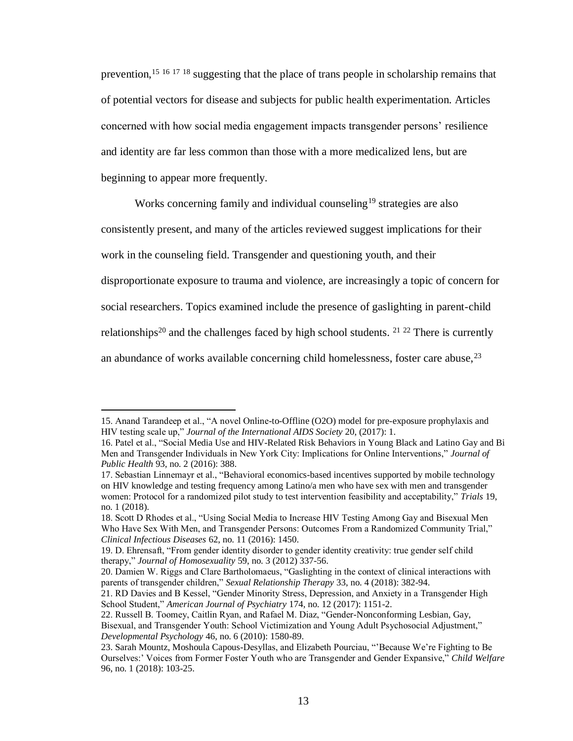prevention,<sup>15 16 17 18</sup> suggesting that the place of trans people in scholarship remains that of potential vectors for disease and subjects for public health experimentation. Articles concerned with how social media engagement impacts transgender persons' resilience and identity are far less common than those with a more medicalized lens, but are beginning to appear more frequently.

Works concerning family and individual counseling<sup>19</sup> strategies are also

consistently present, and many of the articles reviewed suggest implications for their

work in the counseling field. Transgender and questioning youth, and their

disproportionate exposure to trauma and violence, are increasingly a topic of concern for

social researchers. Topics examined include the presence of gaslighting in parent-child

relationships<sup>20</sup> and the challenges faced by high school students. <sup>21 22</sup> There is currently

an abundance of works available concerning child homelessness, foster care abuse, <sup>23</sup>

<sup>15.</sup> Anand Tarandeep et al., "A novel Online-to-Offline (O2O) model for pre-exposure prophylaxis and HIV testing scale up," *Journal of the International AIDS Society* 20, (2017): 1.

<sup>16.</sup> Patel et al., "Social Media Use and HIV-Related Risk Behaviors in Young Black and Latino Gay and Bi Men and Transgender Individuals in New York City: Implications for Online Interventions," *Journal of Public Health* 93, no. 2 (2016): 388.

<sup>17.</sup> Sebastian Linnemayr et al., "Behavioral economics-based incentives supported by mobile technology on HIV knowledge and testing frequency among Latino/a men who have sex with men and transgender women: Protocol for a randomized pilot study to test intervention feasibility and acceptability," *Trials* 19, no. 1 (2018).

<sup>18.</sup> Scott D Rhodes et al., "Using Social Media to Increase HIV Testing Among Gay and Bisexual Men Who Have Sex With Men, and Transgender Persons: Outcomes From a Randomized Community Trial," *Clinical Infectious Diseases* 62, no. 11 (2016): 1450.

<sup>19.</sup> D. Ehrensaft, "From gender identity disorder to gender identity creativity: true gender self child therapy," *Journal of Homosexuality* 59, no. 3 (2012) 337-56.

<sup>20.</sup> Damien W. Riggs and Clare Bartholomaeus, "Gaslighting in the context of clinical interactions with parents of transgender children," *Sexual Relationship Therapy* 33, no. 4 (2018): 382-94.

<sup>21.</sup> RD Davies and B Kessel, "Gender Minority Stress, Depression, and Anxiety in a Transgender High School Student," *American Journal of Psychiatry* 174, no. 12 (2017): 1151-2.

<sup>22.</sup> Russell B. Toomey, Caitlin Ryan, and Rafael M. Diaz, "Gender-Nonconforming Lesbian, Gay, Bisexual, and Transgender Youth: School Victimization and Young Adult Psychosocial Adjustment," *Developmental Psychology* 46, no. 6 (2010): 1580-89.

<sup>23.</sup> Sarah Mountz, Moshoula Capous-Desyllas, and Elizabeth Pourciau, "'Because We're Fighting to Be Ourselves:' Voices from Former Foster Youth who are Transgender and Gender Expansive," *Child Welfare* 96, no. 1 (2018): 103-25.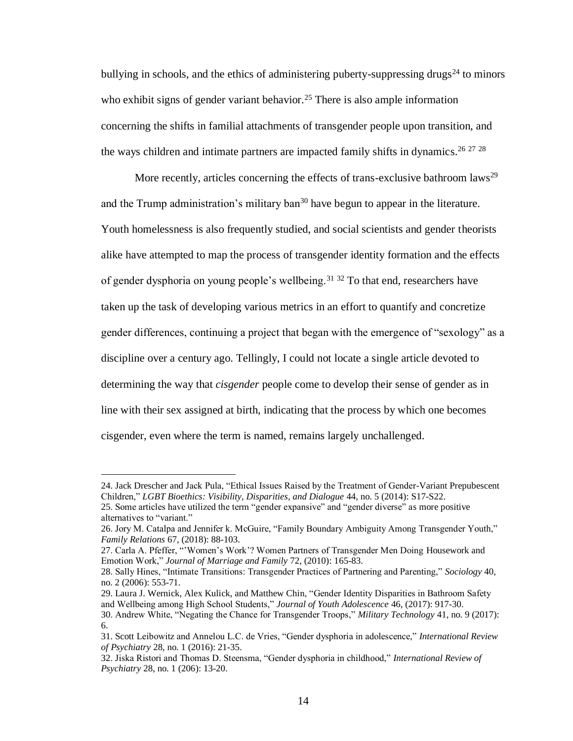bullying in schools, and the ethics of administering puberty-suppressing drugs<sup>24</sup> to minors who exhibit signs of gender variant behavior.<sup>25</sup> There is also ample information concerning the shifts in familial attachments of transgender people upon transition, and the ways children and intimate partners are impacted family shifts in dynamics.<sup>26 27 28</sup>

More recently, articles concerning the effects of trans-exclusive bathroom laws<sup>29</sup> and the Trump administration's military ban<sup>30</sup> have begun to appear in the literature. Youth homelessness is also frequently studied, and social scientists and gender theorists alike have attempted to map the process of transgender identity formation and the effects of gender dysphoria on young people's wellbeing.<sup>31 32</sup> To that end, researchers have taken up the task of developing various metrics in an effort to quantify and concretize gender differences, continuing a project that began with the emergence of "sexology" as a discipline over a century ago. Tellingly, I could not locate a single article devoted to determining the way that *cisgender* people come to develop their sense of gender as in line with their sex assigned at birth, indicating that the process by which one becomes cisgender, even where the term is named, remains largely unchallenged.

<sup>24.</sup> Jack Drescher and Jack Pula, "Ethical Issues Raised by the Treatment of Gender-Variant Prepubescent Children," *LGBT Bioethics: Visibility, Disparities, and Dialogue* 44, no. 5 (2014): S17-S22.

<sup>25.</sup> Some articles have utilized the term "gender expansive" and "gender diverse" as more positive alternatives to "variant."

<sup>26.</sup> Jory M. Catalpa and Jennifer k. McGuire, "Family Boundary Ambiguity Among Transgender Youth," *Family Relations* 67, (2018): 88-103.

<sup>27.</sup> Carla A. Pfeffer, "'Women's Work'? Women Partners of Transgender Men Doing Housework and Emotion Work," *Journal of Marriage and Family* 72, (2010): 165-83.

<sup>28.</sup> Sally Hines, "Intimate Transitions: Transgender Practices of Partnering and Parenting," *Sociology* 40, no. 2 (2006): 553-71.

<sup>29.</sup> Laura J. Wernick, Alex Kulick, and Matthew Chin, "Gender Identity Disparities in Bathroom Safety and Wellbeing among High School Students," *Journal of Youth Adolescence* 46, (2017): 917-30.

<sup>30.</sup> Andrew White, "Negating the Chance for Transgender Troops," *Military Technology* 41, no. 9 (2017): 6.

<sup>31.</sup> Scott Leibowitz and Annelou L.C. de Vries, "Gender dysphoria in adolescence," *International Review of Psychiatry* 28, no. 1 (2016): 21-35.

<sup>32.</sup> Jiska Ristori and Thomas D. Steensma, "Gender dysphoria in childhood," *International Review of Psychiatry* 28, no. 1 (206): 13-20.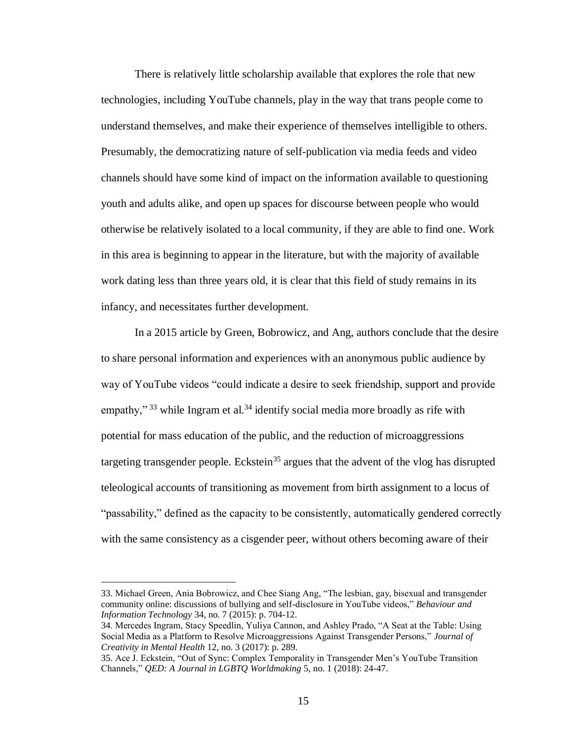There is relatively little scholarship available that explores the role that new technologies, including YouTube channels, play in the way that trans people come to understand themselves, and make their experience of themselves intelligible to others. Presumably, the democratizing nature of self-publication via media feeds and video channels should have some kind of impact on the information available to questioning youth and adults alike, and open up spaces for discourse between people who would otherwise be relatively isolated to a local community, if they are able to find one. Work in this area is beginning to appear in the literature, but with the majority of available work dating less than three years old, it is clear that this field of study remains in its infancy, and necessitates further development.

In a 2015 article by Green, Bobrowicz, and Ang, authors conclude that the desire to share personal information and experiences with an anonymous public audience by way of YouTube videos "could indicate a desire to seek friendship, support and provide empathy,"<sup>33</sup> while Ingram et al.<sup>34</sup> identify social media more broadly as rife with potential for mass education of the public, and the reduction of microaggressions targeting transgender people. Eckstein<sup>35</sup> argues that the advent of the vlog has disrupted teleological accounts of transitioning as movement from birth assignment to a locus of "passability," defined as the capacity to be consistently, automatically gendered correctly with the same consistency as a cisgender peer, without others becoming aware of their

<sup>33.</sup> Michael Green, Ania Bobrowicz, and Chee Siang Ang, "The lesbian, gay, bisexual and transgender community online: discussions of bullying and self-disclosure in YouTube videos," *Behaviour and Information Technology* 34, no. 7 (2015): p. 704-12.

<sup>34.</sup> Mercedes Ingram, Stacy Speedlin, Yuliya Cannon, and Ashley Prado, "A Seat at the Table: Using Social Media as a Platform to Resolve Microaggressions Against Transgender Persons," *Journal of Creativity in Mental Health* 12, no. 3 (2017): p. 289.

<sup>35.</sup> Ace J. Eckstein, "Out of Sync: Complex Temporality in Transgender Men's YouTube Transition Channels," *QED: A Journal in LGBTQ Worldmaking* 5, no. 1 (2018): 24-47.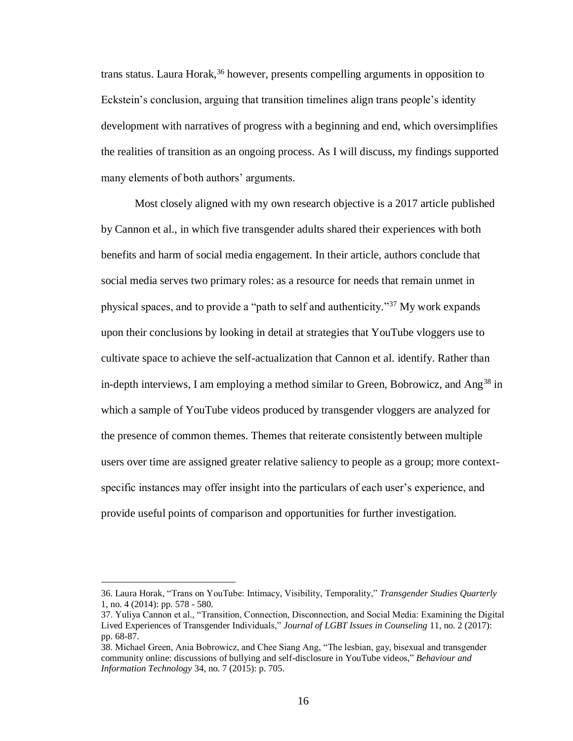trans status. Laura Horak,<sup>36</sup> however, presents compelling arguments in opposition to Eckstein's conclusion, arguing that transition timelines align trans people's identity development with narratives of progress with a beginning and end, which oversimplifies the realities of transition as an ongoing process. As I will discuss, my findings supported many elements of both authors' arguments.

Most closely aligned with my own research objective is a 2017 article published by Cannon et al., in which five transgender adults shared their experiences with both benefits and harm of social media engagement. In their article, authors conclude that social media serves two primary roles: as a resource for needs that remain unmet in physical spaces, and to provide a "path to self and authenticity."<sup>37</sup> My work expands upon their conclusions by looking in detail at strategies that YouTube vloggers use to cultivate space to achieve the self-actualization that Cannon et al. identify. Rather than in-depth interviews, I am employing a method similar to Green, Bobrowicz, and Ang<sup>38</sup> in which a sample of YouTube videos produced by transgender vloggers are analyzed for the presence of common themes. Themes that reiterate consistently between multiple users over time are assigned greater relative saliency to people as a group; more contextspecific instances may offer insight into the particulars of each user's experience, and provide useful points of comparison and opportunities for further investigation.

<sup>36.</sup> Laura Horak, "Trans on YouTube: Intimacy, Visibility, Temporality," *Transgender Studies Quarterly* 1, no. 4 (2014): pp. 578 - 580.

<sup>37.</sup> Yuliya Cannon et al., "Transition, Connection, Disconnection, and Social Media: Examining the Digital Lived Experiences of Transgender Individuals," *Journal of LGBT Issues in Counseling* 11, no. 2 (2017): pp. 68-87.

<sup>38.</sup> Michael Green, Ania Bobrowicz, and Chee Siang Ang, "The lesbian, gay, bisexual and transgender community online: discussions of bullying and self-disclosure in YouTube videos," *Behaviour and Information Technology* 34, no. 7 (2015): p. 705.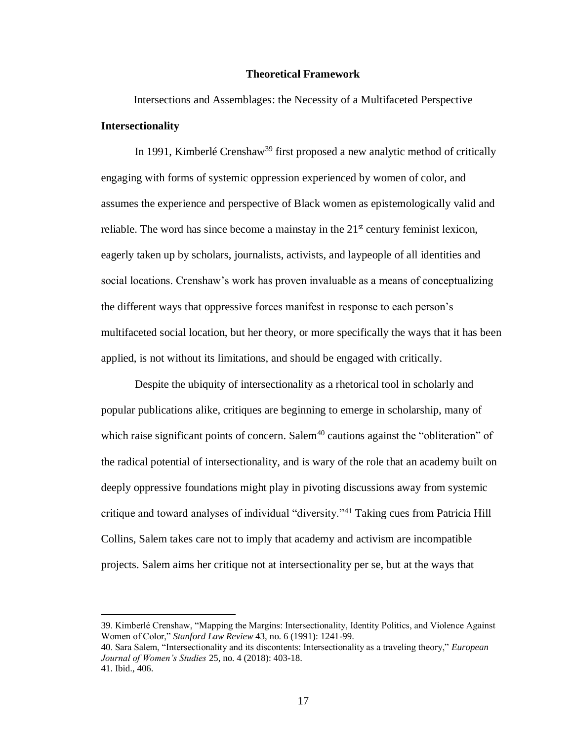#### **Theoretical Framework**

Intersections and Assemblages: the Necessity of a Multifaceted Perspective **Intersectionality**

In 1991, Kimberlé Crenshaw<sup>39</sup> first proposed a new analytic method of critically engaging with forms of systemic oppression experienced by women of color, and assumes the experience and perspective of Black women as epistemologically valid and reliable. The word has since become a mainstay in the  $21<sup>st</sup>$  century feminist lexicon, eagerly taken up by scholars, journalists, activists, and laypeople of all identities and social locations. Crenshaw's work has proven invaluable as a means of conceptualizing the different ways that oppressive forces manifest in response to each person's multifaceted social location, but her theory, or more specifically the ways that it has been applied, is not without its limitations, and should be engaged with critically.

Despite the ubiquity of intersectionality as a rhetorical tool in scholarly and popular publications alike, critiques are beginning to emerge in scholarship, many of which raise significant points of concern. Salem<sup>40</sup> cautions against the "obliteration" of the radical potential of intersectionality, and is wary of the role that an academy built on deeply oppressive foundations might play in pivoting discussions away from systemic critique and toward analyses of individual "diversity."<sup>41</sup> Taking cues from Patricia Hill Collins, Salem takes care not to imply that academy and activism are incompatible projects. Salem aims her critique not at intersectionality per se, but at the ways that

<sup>39.</sup> Kimberlé Crenshaw, "Mapping the Margins: Intersectionality, Identity Politics, and Violence Against Women of Color," *Stanford Law Review* 43, no. 6 (1991): 1241-99.

<sup>40.</sup> Sara Salem, "Intersectionality and its discontents: Intersectionality as a traveling theory," *European Journal of Women's Studies* 25, no. 4 (2018): 403-18. 41. Ibid., 406.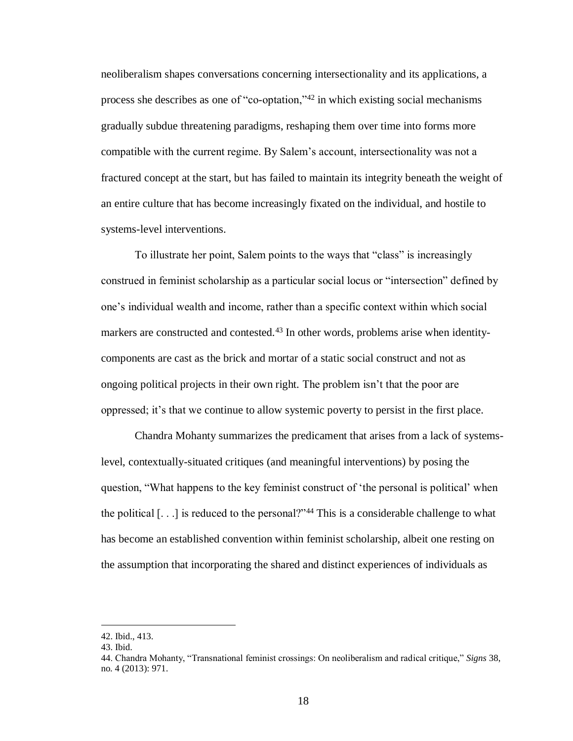neoliberalism shapes conversations concerning intersectionality and its applications, a process she describes as one of "co-optation,"<sup>42</sup> in which existing social mechanisms gradually subdue threatening paradigms, reshaping them over time into forms more compatible with the current regime. By Salem's account, intersectionality was not a fractured concept at the start, but has failed to maintain its integrity beneath the weight of an entire culture that has become increasingly fixated on the individual, and hostile to systems-level interventions.

To illustrate her point, Salem points to the ways that "class" is increasingly construed in feminist scholarship as a particular social locus or "intersection" defined by one's individual wealth and income, rather than a specific context within which social markers are constructed and contested.<sup>43</sup> In other words, problems arise when identitycomponents are cast as the brick and mortar of a static social construct and not as ongoing political projects in their own right. The problem isn't that the poor are oppressed; it's that we continue to allow systemic poverty to persist in the first place.

Chandra Mohanty summarizes the predicament that arises from a lack of systemslevel, contextually-situated critiques (and meaningful interventions) by posing the question, "What happens to the key feminist construct of 'the personal is political' when the political  $[...]$  is reduced to the personal?"<sup>44</sup> This is a considerable challenge to what has become an established convention within feminist scholarship, albeit one resting on the assumption that incorporating the shared and distinct experiences of individuals as

<sup>42.</sup> Ibid., 413.

<sup>43.</sup> Ibid.

<sup>44.</sup> Chandra Mohanty, "Transnational feminist crossings: On neoliberalism and radical critique," *Signs* 38, no. 4 (2013): 971.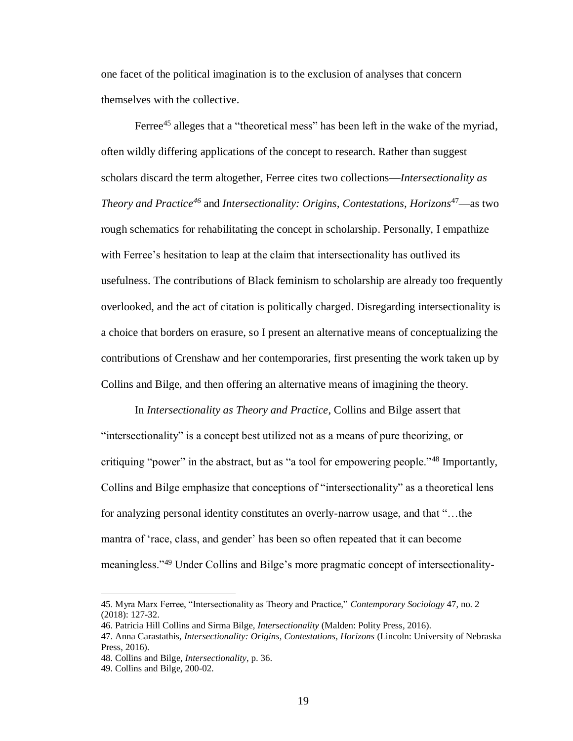one facet of the political imagination is to the exclusion of analyses that concern themselves with the collective.

Ferree<sup>45</sup> alleges that a "theoretical mess" has been left in the wake of the myriad, often wildly differing applications of the concept to research. Rather than suggest scholars discard the term altogether, Ferree cites two collections—*Intersectionality as Theory and Practice<sup>46</sup>* and *Intersectionality: Origins, Contestations, Horizons*<sup>47</sup>—as two rough schematics for rehabilitating the concept in scholarship. Personally, I empathize with Ferree's hesitation to leap at the claim that intersectionality has outlived its usefulness. The contributions of Black feminism to scholarship are already too frequently overlooked, and the act of citation is politically charged. Disregarding intersectionality is a choice that borders on erasure, so I present an alternative means of conceptualizing the contributions of Crenshaw and her contemporaries, first presenting the work taken up by Collins and Bilge, and then offering an alternative means of imagining the theory.

In *Intersectionality as Theory and Practice*, Collins and Bilge assert that "intersectionality" is a concept best utilized not as a means of pure theorizing, or critiquing "power" in the abstract, but as "a tool for empowering people."<sup>48</sup> Importantly, Collins and Bilge emphasize that conceptions of "intersectionality" as a theoretical lens for analyzing personal identity constitutes an overly-narrow usage, and that "…the mantra of 'race, class, and gender' has been so often repeated that it can become meaningless."<sup>49</sup> Under Collins and Bilge's more pragmatic concept of intersectionality-

<sup>45.</sup> Myra Marx Ferree, "Intersectionality as Theory and Practice," *Contemporary Sociology* 47, no. 2 (2018): 127-32.

<sup>46.</sup> Patricia Hill Collins and Sirma Bilge, *Intersectionality* (Malden: Polity Press, 2016).

<sup>47.</sup> Anna Carastathis, *Intersectionality: Origins, Contestations, Horizons* (Lincoln: University of Nebraska Press, 2016).

<sup>48.</sup> Collins and Bilge, *Intersectionality*, p. 36.

<sup>49.</sup> Collins and Bilge, 200-02.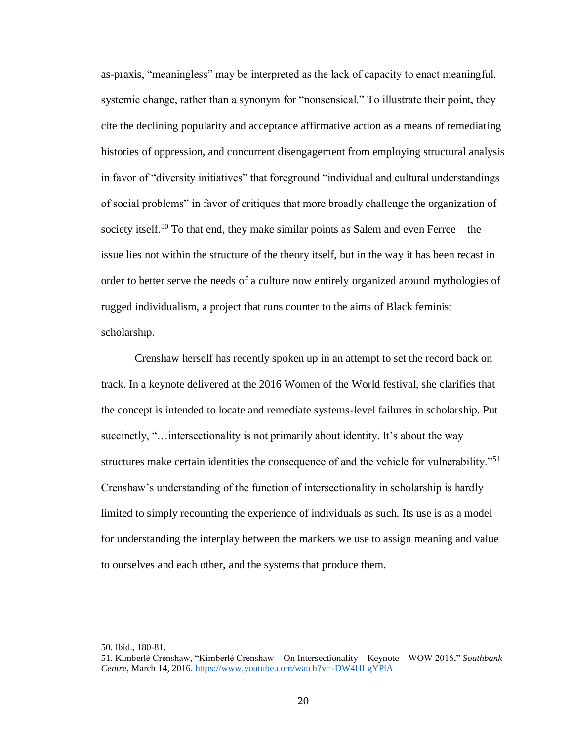as-praxis, "meaningless" may be interpreted as the lack of capacity to enact meaningful, systemic change, rather than a synonym for "nonsensical." To illustrate their point, they cite the declining popularity and acceptance affirmative action as a means of remediating histories of oppression, and concurrent disengagement from employing structural analysis in favor of "diversity initiatives" that foreground "individual and cultural understandings of social problems" in favor of critiques that more broadly challenge the organization of society itself.<sup>50</sup> To that end, they make similar points as Salem and even Ferree—the issue lies not within the structure of the theory itself, but in the way it has been recast in order to better serve the needs of a culture now entirely organized around mythologies of rugged individualism, a project that runs counter to the aims of Black feminist scholarship.

Crenshaw herself has recently spoken up in an attempt to set the record back on track. In a keynote delivered at the 2016 Women of the World festival, she clarifies that the concept is intended to locate and remediate systems-level failures in scholarship. Put succinctly, "…intersectionality is not primarily about identity. It's about the way structures make certain identities the consequence of and the vehicle for vulnerability."<sup>51</sup> Crenshaw's understanding of the function of intersectionality in scholarship is hardly limited to simply recounting the experience of individuals as such. Its use is as a model for understanding the interplay between the markers we use to assign meaning and value to ourselves and each other, and the systems that produce them.

<sup>50.</sup> Ibid., 180-81.

<sup>51.</sup> Kimberlé Crenshaw, "Kimberlé Crenshaw – On Intersectionality – Keynote – WOW 2016," *Southbank Centre*, March 14, 2016.<https://www.youtube.com/watch?v=-DW4HLgYPlA>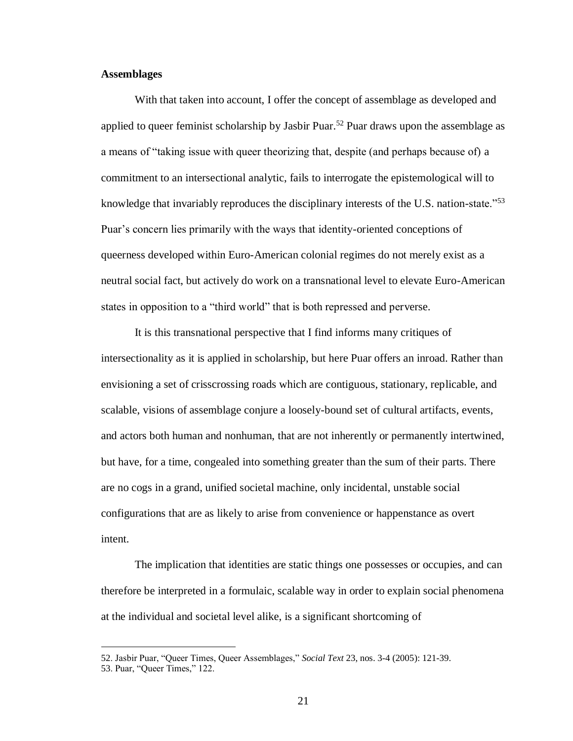## **Assemblages**

 $\overline{a}$ 

With that taken into account, I offer the concept of assemblage as developed and applied to queer feminist scholarship by Jasbir Puar. <sup>52</sup> Puar draws upon the assemblage as a means of "taking issue with queer theorizing that, despite (and perhaps because of) a commitment to an intersectional analytic, fails to interrogate the epistemological will to knowledge that invariably reproduces the disciplinary interests of the U.S. nation-state.<sup>753</sup> Puar's concern lies primarily with the ways that identity-oriented conceptions of queerness developed within Euro-American colonial regimes do not merely exist as a neutral social fact, but actively do work on a transnational level to elevate Euro-American states in opposition to a "third world" that is both repressed and perverse.

It is this transnational perspective that I find informs many critiques of intersectionality as it is applied in scholarship, but here Puar offers an inroad. Rather than envisioning a set of crisscrossing roads which are contiguous, stationary, replicable, and scalable, visions of assemblage conjure a loosely-bound set of cultural artifacts, events, and actors both human and nonhuman, that are not inherently or permanently intertwined, but have, for a time, congealed into something greater than the sum of their parts. There are no cogs in a grand, unified societal machine, only incidental, unstable social configurations that are as likely to arise from convenience or happenstance as overt intent.

The implication that identities are static things one possesses or occupies, and can therefore be interpreted in a formulaic, scalable way in order to explain social phenomena at the individual and societal level alike, is a significant shortcoming of

<sup>52.</sup> Jasbir Puar, "Queer Times, Queer Assemblages," *Social Text* 23, nos. 3-4 (2005): 121-39. 53. Puar, "Queer Times," 122.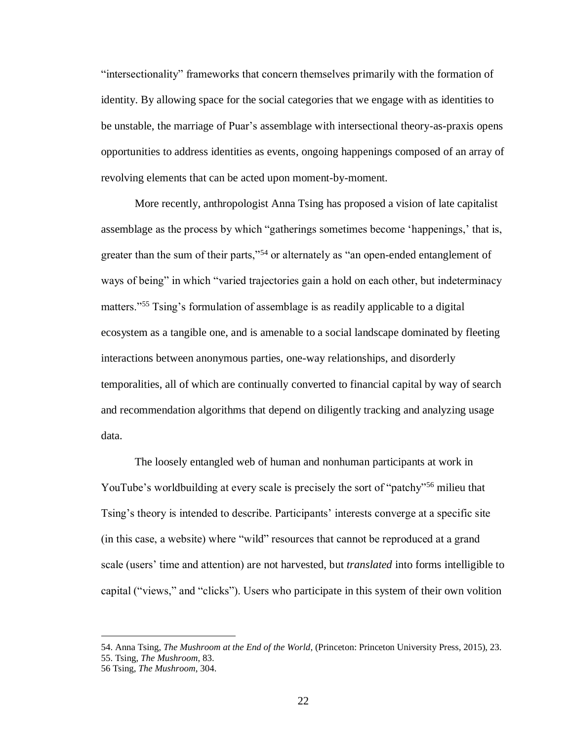"intersectionality" frameworks that concern themselves primarily with the formation of identity. By allowing space for the social categories that we engage with as identities to be unstable, the marriage of Puar's assemblage with intersectional theory-as-praxis opens opportunities to address identities as events, ongoing happenings composed of an array of revolving elements that can be acted upon moment-by-moment.

More recently, anthropologist Anna Tsing has proposed a vision of late capitalist assemblage as the process by which "gatherings sometimes become 'happenings,' that is, greater than the sum of their parts,"<sup>54</sup> or alternately as "an open-ended entanglement of ways of being" in which "varied trajectories gain a hold on each other, but indeterminacy matters."<sup>55</sup> Tsing's formulation of assemblage is as readily applicable to a digital ecosystem as a tangible one, and is amenable to a social landscape dominated by fleeting interactions between anonymous parties, one-way relationships, and disorderly temporalities, all of which are continually converted to financial capital by way of search and recommendation algorithms that depend on diligently tracking and analyzing usage data.

The loosely entangled web of human and nonhuman participants at work in YouTube's worldbuilding at every scale is precisely the sort of "patchy"<sup>56</sup> milieu that Tsing's theory is intended to describe. Participants' interests converge at a specific site (in this case, a website) where "wild" resources that cannot be reproduced at a grand scale (users' time and attention) are not harvested, but *translated* into forms intelligible to capital ("views," and "clicks"). Users who participate in this system of their own volition

<sup>54.</sup> Anna Tsing, *The Mushroom at the End of the World*, (Princeton: Princeton University Press, 2015), 23. 55. Tsing, *The Mushroom*, 83.

<sup>56</sup> Tsing, *The Mushroom*, 304.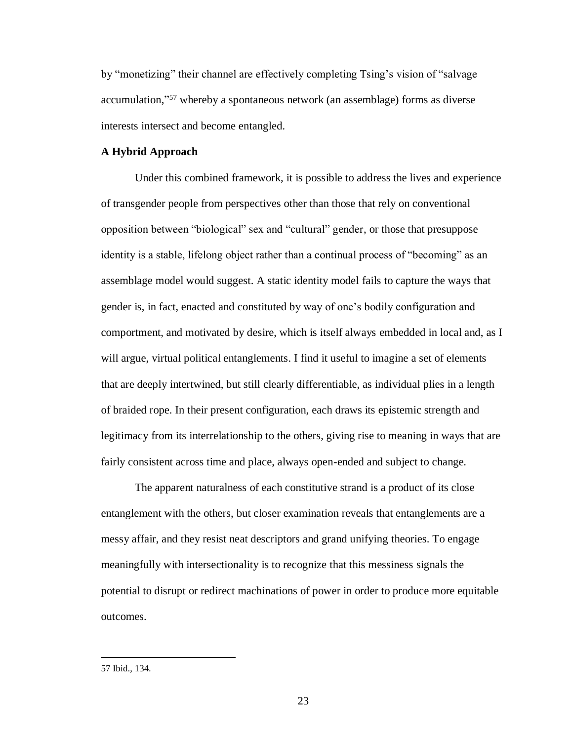by "monetizing" their channel are effectively completing Tsing's vision of "salvage accumulation," <sup>57</sup> whereby a spontaneous network (an assemblage) forms as diverse interests intersect and become entangled.

## **A Hybrid Approach**

Under this combined framework, it is possible to address the lives and experience of transgender people from perspectives other than those that rely on conventional opposition between "biological" sex and "cultural" gender, or those that presuppose identity is a stable, lifelong object rather than a continual process of "becoming" as an assemblage model would suggest. A static identity model fails to capture the ways that gender is, in fact, enacted and constituted by way of one's bodily configuration and comportment, and motivated by desire, which is itself always embedded in local and, as I will argue, virtual political entanglements. I find it useful to imagine a set of elements that are deeply intertwined, but still clearly differentiable, as individual plies in a length of braided rope. In their present configuration, each draws its epistemic strength and legitimacy from its interrelationship to the others, giving rise to meaning in ways that are fairly consistent across time and place, always open-ended and subject to change.

The apparent naturalness of each constitutive strand is a product of its close entanglement with the others, but closer examination reveals that entanglements are a messy affair, and they resist neat descriptors and grand unifying theories. To engage meaningfully with intersectionality is to recognize that this messiness signals the potential to disrupt or redirect machinations of power in order to produce more equitable outcomes.

<sup>57</sup> Ibid., 134.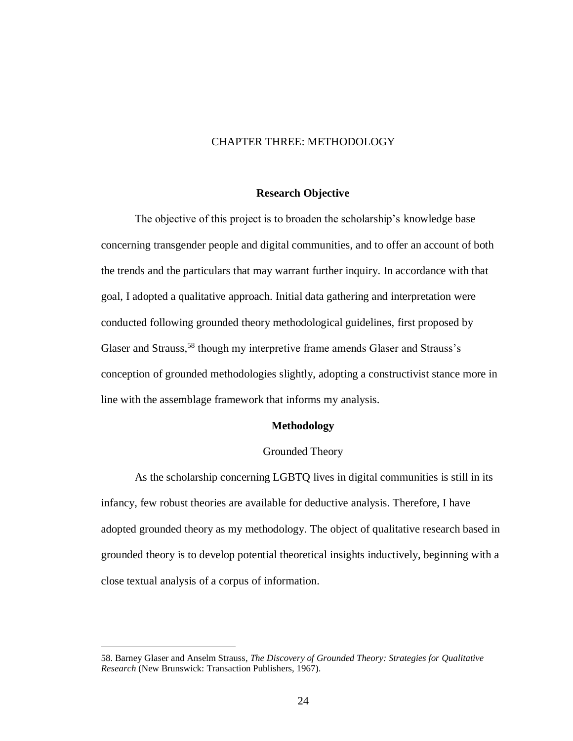## CHAPTER THREE: METHODOLOGY

#### **Research Objective**

The objective of this project is to broaden the scholarship's knowledge base concerning transgender people and digital communities, and to offer an account of both the trends and the particulars that may warrant further inquiry. In accordance with that goal, I adopted a qualitative approach. Initial data gathering and interpretation were conducted following grounded theory methodological guidelines, first proposed by Glaser and Strauss,<sup>58</sup> though my interpretive frame amends Glaser and Strauss's conception of grounded methodologies slightly, adopting a constructivist stance more in line with the assemblage framework that informs my analysis.

#### **Methodology**

#### Grounded Theory

As the scholarship concerning LGBTQ lives in digital communities is still in its infancy, few robust theories are available for deductive analysis. Therefore, I have adopted grounded theory as my methodology. The object of qualitative research based in grounded theory is to develop potential theoretical insights inductively, beginning with a close textual analysis of a corpus of information.

<sup>58.</sup> Barney Glaser and Anselm Strauss, *The Discovery of Grounded Theory: Strategies for Qualitative Research* (New Brunswick: Transaction Publishers, 1967).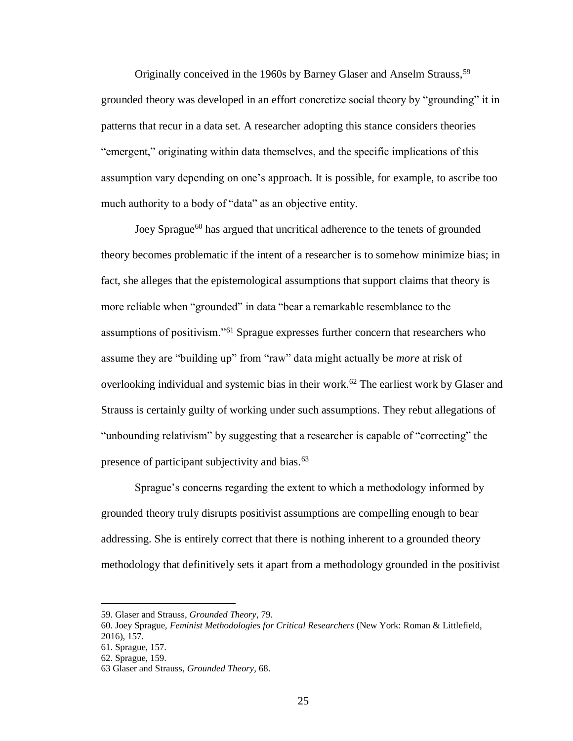Originally conceived in the 1960s by Barney Glaser and Anselm Strauss,<sup>59</sup> grounded theory was developed in an effort concretize social theory by "grounding" it in patterns that recur in a data set. A researcher adopting this stance considers theories "emergent," originating within data themselves, and the specific implications of this assumption vary depending on one's approach. It is possible, for example, to ascribe too much authority to a body of "data" as an objective entity.

Joey Sprague<sup>60</sup> has argued that uncritical adherence to the tenets of grounded theory becomes problematic if the intent of a researcher is to somehow minimize bias; in fact, she alleges that the epistemological assumptions that support claims that theory is more reliable when "grounded" in data "bear a remarkable resemblance to the assumptions of positivism."<sup>61</sup> Sprague expresses further concern that researchers who assume they are "building up" from "raw" data might actually be *more* at risk of overlooking individual and systemic bias in their work.<sup>62</sup> The earliest work by Glaser and Strauss is certainly guilty of working under such assumptions. They rebut allegations of "unbounding relativism" by suggesting that a researcher is capable of "correcting" the presence of participant subjectivity and bias.<sup>63</sup>

Sprague's concerns regarding the extent to which a methodology informed by grounded theory truly disrupts positivist assumptions are compelling enough to bear addressing. She is entirely correct that there is nothing inherent to a grounded theory methodology that definitively sets it apart from a methodology grounded in the positivist

<sup>59.</sup> Glaser and Strauss, *Grounded Theory*, 79.

<sup>60.</sup> Joey Sprague, *Feminist Methodologies for Critical Researchers* (New York: Roman & Littlefield, 2016), 157.

<sup>61.</sup> Sprague, 157.

<sup>62.</sup> Sprague, 159.

<sup>63</sup> Glaser and Strauss, *Grounded Theory*, 68.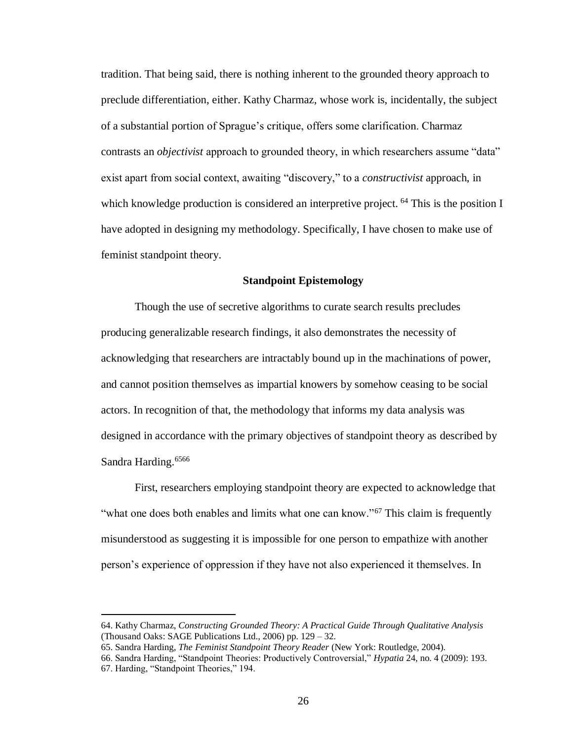tradition. That being said, there is nothing inherent to the grounded theory approach to preclude differentiation, either. Kathy Charmaz, whose work is, incidentally, the subject of a substantial portion of Sprague's critique, offers some clarification. Charmaz contrasts an *objectivist* approach to grounded theory, in which researchers assume "data" exist apart from social context, awaiting "discovery," to a *constructivist* approach, in which knowledge production is considered an interpretive project. <sup>64</sup> This is the position I have adopted in designing my methodology. Specifically, I have chosen to make use of feminist standpoint theory.

## **Standpoint Epistemology**

Though the use of secretive algorithms to curate search results precludes producing generalizable research findings, it also demonstrates the necessity of acknowledging that researchers are intractably bound up in the machinations of power, and cannot position themselves as impartial knowers by somehow ceasing to be social actors. In recognition of that, the methodology that informs my data analysis was designed in accordance with the primary objectives of standpoint theory as described by Sandra Harding.<sup>6566</sup>

First, researchers employing standpoint theory are expected to acknowledge that "what one does both enables and limits what one can know."<sup>67</sup> This claim is frequently misunderstood as suggesting it is impossible for one person to empathize with another person's experience of oppression if they have not also experienced it themselves. In

65. Sandra Harding, *The Feminist Standpoint Theory Reader* (New York: Routledge, 2004).

 $\overline{a}$ 

66. Sandra Harding, "Standpoint Theories: Productively Controversial," *Hypatia* 24, no. 4 (2009): 193. 67. Harding, "Standpoint Theories," 194.

<sup>64.</sup> Kathy Charmaz, *Constructing Grounded Theory: A Practical Guide Through Qualitative Analysis* (Thousand Oaks: SAGE Publications Ltd., 2006) pp. 129 – 32.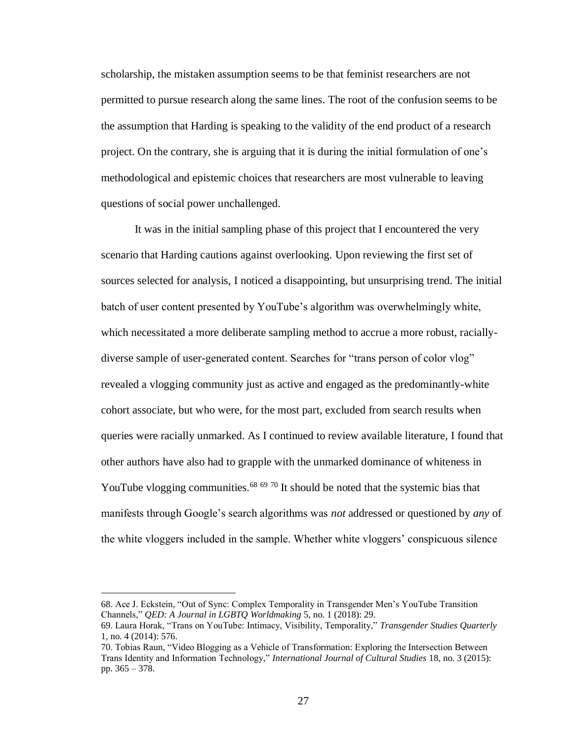scholarship, the mistaken assumption seems to be that feminist researchers are not permitted to pursue research along the same lines. The root of the confusion seems to be the assumption that Harding is speaking to the validity of the end product of a research project. On the contrary, she is arguing that it is during the initial formulation of one's methodological and epistemic choices that researchers are most vulnerable to leaving questions of social power unchallenged.

It was in the initial sampling phase of this project that I encountered the very scenario that Harding cautions against overlooking. Upon reviewing the first set of sources selected for analysis, I noticed a disappointing, but unsurprising trend. The initial batch of user content presented by YouTube's algorithm was overwhelmingly white, which necessitated a more deliberate sampling method to accrue a more robust, raciallydiverse sample of user-generated content. Searches for "trans person of color vlog" revealed a vlogging community just as active and engaged as the predominantly-white cohort associate, but who were, for the most part, excluded from search results when queries were racially unmarked. As I continued to review available literature, I found that other authors have also had to grapple with the unmarked dominance of whiteness in YouTube vlogging communities.<sup>68 69 70</sup> It should be noted that the systemic bias that manifests through Google's search algorithms was *not* addressed or questioned by *any* of the white vloggers included in the sample. Whether white vloggers' conspicuous silence

<sup>68.</sup> Ace J. Eckstein, "Out of Sync: Complex Temporality in Transgender Men's YouTube Transition Channels," *QED: A Journal in LGBTQ Worldmaking* 5, no. 1 (2018): 29.

<sup>69.</sup> Laura Horak, "Trans on YouTube: Intimacy, Visibility, Temporality," *Transgender Studies Quarterly* 1, no. 4 (2014): 576.

<sup>70.</sup> Tobias Raun, "Video Blogging as a Vehicle of Transformation: Exploring the Intersection Between Trans Identity and Information Technology," *International Journal of Cultural Studies* 18, no. 3 (2015): pp. 365 – 378.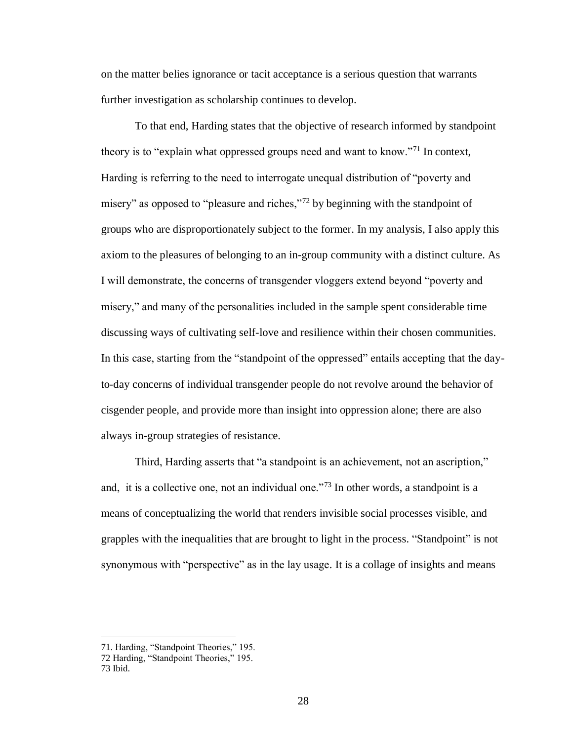on the matter belies ignorance or tacit acceptance is a serious question that warrants further investigation as scholarship continues to develop.

To that end, Harding states that the objective of research informed by standpoint theory is to "explain what oppressed groups need and want to know."<sup>71</sup> In context, Harding is referring to the need to interrogate unequal distribution of "poverty and misery" as opposed to "pleasure and riches,"<sup>72</sup> by beginning with the standpoint of groups who are disproportionately subject to the former. In my analysis, I also apply this axiom to the pleasures of belonging to an in-group community with a distinct culture. As I will demonstrate, the concerns of transgender vloggers extend beyond "poverty and misery," and many of the personalities included in the sample spent considerable time discussing ways of cultivating self-love and resilience within their chosen communities. In this case, starting from the "standpoint of the oppressed" entails accepting that the dayto-day concerns of individual transgender people do not revolve around the behavior of cisgender people, and provide more than insight into oppression alone; there are also always in-group strategies of resistance.

Third, Harding asserts that "a standpoint is an achievement, not an ascription," and, it is a collective one, not an individual one."<sup>73</sup> In other words, a standpoint is a means of conceptualizing the world that renders invisible social processes visible, and grapples with the inequalities that are brought to light in the process. "Standpoint" is not synonymous with "perspective" as in the lay usage. It is a collage of insights and means

<sup>71.</sup> Harding, "Standpoint Theories," 195.

<sup>72</sup> Harding, "Standpoint Theories," 195.

<sup>73</sup> Ibid.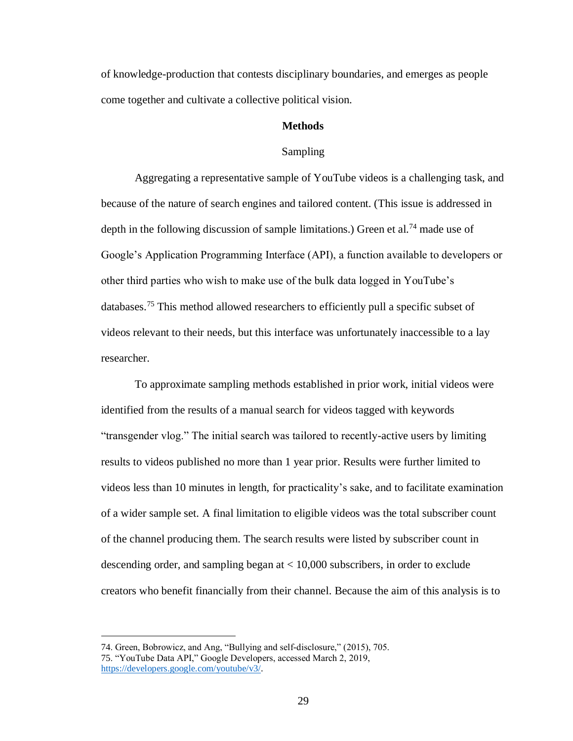of knowledge-production that contests disciplinary boundaries, and emerges as people come together and cultivate a collective political vision.

### **Methods**

#### Sampling

Aggregating a representative sample of YouTube videos is a challenging task, and because of the nature of search engines and tailored content. (This issue is addressed in depth in the following discussion of sample limitations.) Green et al.<sup>74</sup> made use of Google's Application Programming Interface (API), a function available to developers or other third parties who wish to make use of the bulk data logged in YouTube's databases.<sup>75</sup> This method allowed researchers to efficiently pull a specific subset of videos relevant to their needs, but this interface was unfortunately inaccessible to a lay researcher.

To approximate sampling methods established in prior work, initial videos were identified from the results of a manual search for videos tagged with keywords "transgender vlog." The initial search was tailored to recently-active users by limiting results to videos published no more than 1 year prior. Results were further limited to videos less than 10 minutes in length, for practicality's sake, and to facilitate examination of a wider sample set. A final limitation to eligible videos was the total subscriber count of the channel producing them. The search results were listed by subscriber count in descending order, and sampling began at < 10,000 subscribers, in order to exclude creators who benefit financially from their channel. Because the aim of this analysis is to

<sup>74.</sup> Green, Bobrowicz, and Ang, "Bullying and self-disclosure," (2015), 705. 75. "YouTube Data API," Google Developers, accessed March 2, 2019, [https://developers.google.com/youtube/v3/.](https://developers.google.com/youtube/v3/)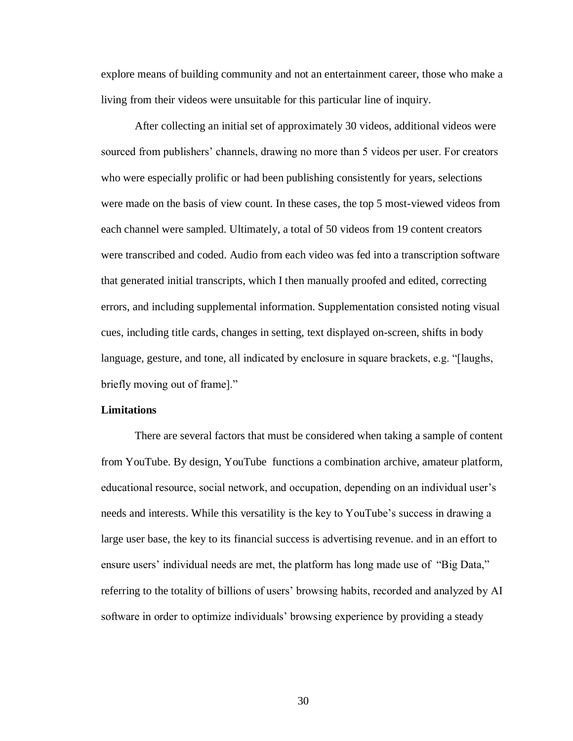explore means of building community and not an entertainment career, those who make a living from their videos were unsuitable for this particular line of inquiry.

After collecting an initial set of approximately 30 videos, additional videos were sourced from publishers' channels, drawing no more than 5 videos per user. For creators who were especially prolific or had been publishing consistently for years, selections were made on the basis of view count. In these cases, the top 5 most-viewed videos from each channel were sampled. Ultimately, a total of 50 videos from 19 content creators were transcribed and coded. Audio from each video was fed into a transcription software that generated initial transcripts, which I then manually proofed and edited, correcting errors, and including supplemental information. Supplementation consisted noting visual cues, including title cards, changes in setting, text displayed on-screen, shifts in body language, gesture, and tone, all indicated by enclosure in square brackets, e.g. "[laughs, briefly moving out of frame]."

#### **Limitations**

There are several factors that must be considered when taking a sample of content from YouTube. By design, YouTube functions a combination archive, amateur platform, educational resource, social network, and occupation, depending on an individual user's needs and interests. While this versatility is the key to YouTube's success in drawing a large user base, the key to its financial success is advertising revenue. and in an effort to ensure users' individual needs are met, the platform has long made use of "Big Data," referring to the totality of billions of users' browsing habits, recorded and analyzed by AI software in order to optimize individuals' browsing experience by providing a steady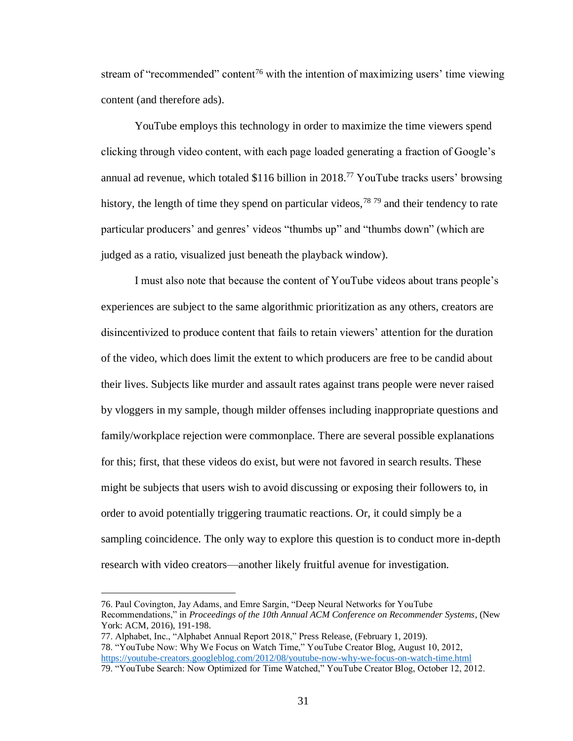stream of "recommended" content<sup>76</sup> with the intention of maximizing users' time viewing content (and therefore ads).

YouTube employs this technology in order to maximize the time viewers spend clicking through video content, with each page loaded generating a fraction of Google's annual ad revenue, which totaled \$116 billion in 2018. <sup>77</sup> YouTube tracks users' browsing history, the length of time they spend on particular videos,  $^{78}$   $^{79}$  and their tendency to rate particular producers' and genres' videos "thumbs up" and "thumbs down" (which are judged as a ratio, visualized just beneath the playback window).

I must also note that because the content of YouTube videos about trans people's experiences are subject to the same algorithmic prioritization as any others, creators are disincentivized to produce content that fails to retain viewers' attention for the duration of the video, which does limit the extent to which producers are free to be candid about their lives. Subjects like murder and assault rates against trans people were never raised by vloggers in my sample, though milder offenses including inappropriate questions and family/workplace rejection were commonplace. There are several possible explanations for this; first, that these videos do exist, but were not favored in search results. These might be subjects that users wish to avoid discussing or exposing their followers to, in order to avoid potentially triggering traumatic reactions. Or, it could simply be a sampling coincidence. The only way to explore this question is to conduct more in-depth research with video creators—another likely fruitful avenue for investigation.

<sup>76.</sup> Paul Covington, Jay Adams, and Emre Sargin, "Deep Neural Networks for YouTube Recommendations," in *Proceedings of the 10th Annual ACM Conference on Recommender Systems*, (New York: ACM, 2016), 191-198.

<sup>77.</sup> Alphabet, Inc., "Alphabet Annual Report 2018," Press Release, (February 1, 2019). 78. "YouTube Now: Why We Focus on Watch Time," YouTube Creator Blog, August 10, 2012, <https://youtube-creators.googleblog.com/2012/08/youtube-now-why-we-focus-on-watch-time.html> 79. "YouTube Search: Now Optimized for Time Watched," YouTube Creator Blog, October 12, 2012.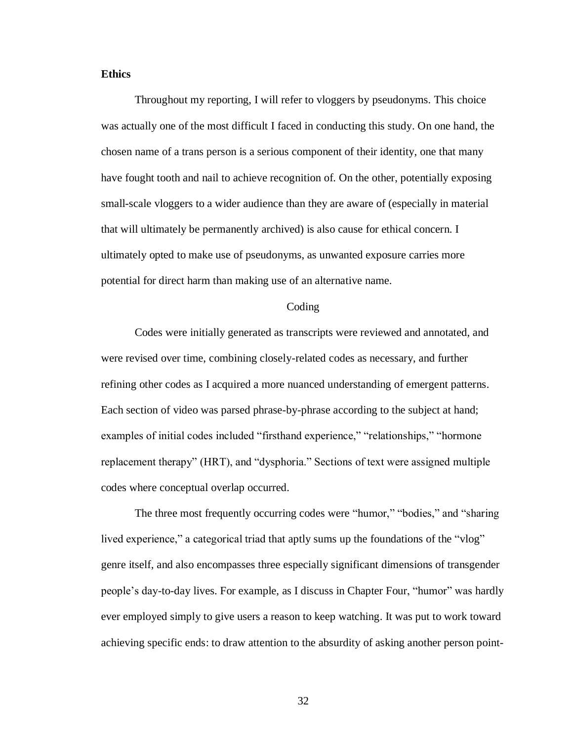## **Ethics**

Throughout my reporting, I will refer to vloggers by pseudonyms. This choice was actually one of the most difficult I faced in conducting this study. On one hand, the chosen name of a trans person is a serious component of their identity, one that many have fought tooth and nail to achieve recognition of. On the other, potentially exposing small-scale vloggers to a wider audience than they are aware of (especially in material that will ultimately be permanently archived) is also cause for ethical concern. I ultimately opted to make use of pseudonyms, as unwanted exposure carries more potential for direct harm than making use of an alternative name.

#### Coding

Codes were initially generated as transcripts were reviewed and annotated, and were revised over time, combining closely-related codes as necessary, and further refining other codes as I acquired a more nuanced understanding of emergent patterns. Each section of video was parsed phrase-by-phrase according to the subject at hand; examples of initial codes included "firsthand experience," "relationships," "hormone replacement therapy" (HRT), and "dysphoria." Sections of text were assigned multiple codes where conceptual overlap occurred.

The three most frequently occurring codes were "humor," "bodies," and "sharing lived experience," a categorical triad that aptly sums up the foundations of the "vlog" genre itself, and also encompasses three especially significant dimensions of transgender people's day-to-day lives. For example, as I discuss in Chapter Four, "humor" was hardly ever employed simply to give users a reason to keep watching. It was put to work toward achieving specific ends: to draw attention to the absurdity of asking another person point-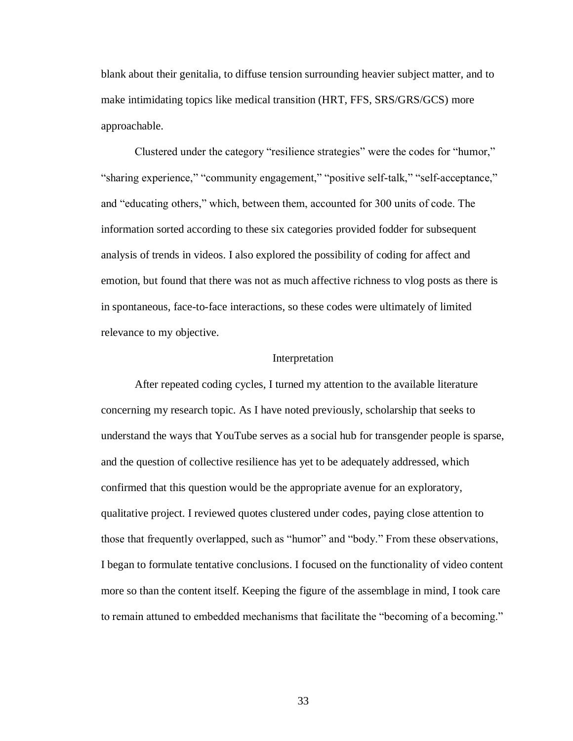blank about their genitalia, to diffuse tension surrounding heavier subject matter, and to make intimidating topics like medical transition (HRT, FFS, SRS/GRS/GCS) more approachable.

Clustered under the category "resilience strategies" were the codes for "humor," "sharing experience," "community engagement," "positive self-talk," "self-acceptance," and "educating others," which, between them, accounted for 300 units of code. The information sorted according to these six categories provided fodder for subsequent analysis of trends in videos. I also explored the possibility of coding for affect and emotion, but found that there was not as much affective richness to vlog posts as there is in spontaneous, face-to-face interactions, so these codes were ultimately of limited relevance to my objective.

#### Interpretation

After repeated coding cycles, I turned my attention to the available literature concerning my research topic. As I have noted previously, scholarship that seeks to understand the ways that YouTube serves as a social hub for transgender people is sparse, and the question of collective resilience has yet to be adequately addressed, which confirmed that this question would be the appropriate avenue for an exploratory, qualitative project. I reviewed quotes clustered under codes, paying close attention to those that frequently overlapped, such as "humor" and "body." From these observations, I began to formulate tentative conclusions. I focused on the functionality of video content more so than the content itself. Keeping the figure of the assemblage in mind, I took care to remain attuned to embedded mechanisms that facilitate the "becoming of a becoming."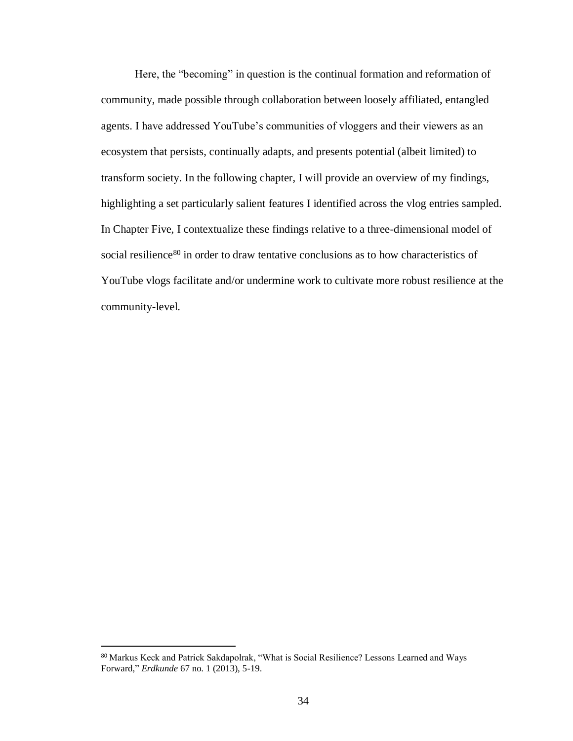Here, the "becoming" in question is the continual formation and reformation of community, made possible through collaboration between loosely affiliated, entangled agents. I have addressed YouTube's communities of vloggers and their viewers as an ecosystem that persists, continually adapts, and presents potential (albeit limited) to transform society. In the following chapter, I will provide an overview of my findings, highlighting a set particularly salient features I identified across the vlog entries sampled. In Chapter Five, I contextualize these findings relative to a three-dimensional model of social resilience<sup>80</sup> in order to draw tentative conclusions as to how characteristics of YouTube vlogs facilitate and/or undermine work to cultivate more robust resilience at the community-level.

<sup>80</sup> Markus Keck and Patrick Sakdapolrak, "What is Social Resilience? Lessons Learned and Ways Forward," *Erdkunde* 67 no. 1 (2013), 5-19.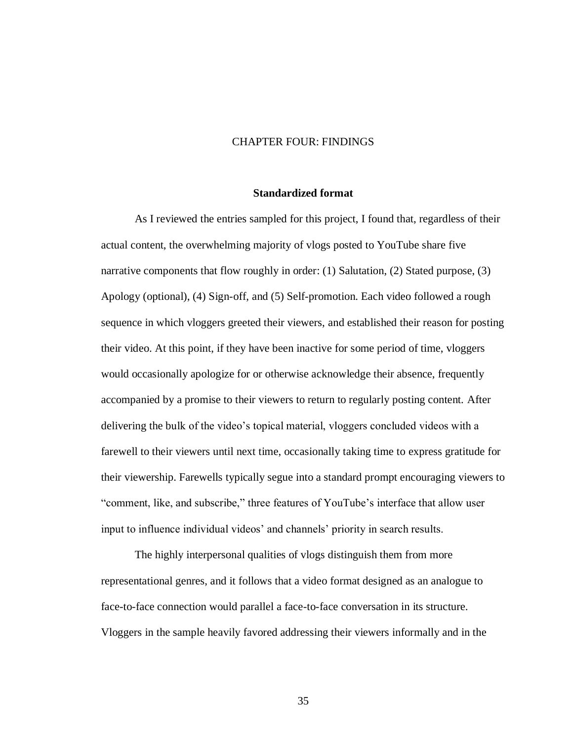#### CHAPTER FOUR: FINDINGS

#### **Standardized format**

As I reviewed the entries sampled for this project, I found that, regardless of their actual content, the overwhelming majority of vlogs posted to YouTube share five narrative components that flow roughly in order: (1) Salutation, (2) Stated purpose, (3) Apology (optional), (4) Sign-off, and (5) Self-promotion. Each video followed a rough sequence in which vloggers greeted their viewers, and established their reason for posting their video. At this point, if they have been inactive for some period of time, vloggers would occasionally apologize for or otherwise acknowledge their absence, frequently accompanied by a promise to their viewers to return to regularly posting content. After delivering the bulk of the video's topical material, vloggers concluded videos with a farewell to their viewers until next time, occasionally taking time to express gratitude for their viewership. Farewells typically segue into a standard prompt encouraging viewers to "comment, like, and subscribe," three features of YouTube's interface that allow user input to influence individual videos' and channels' priority in search results.

The highly interpersonal qualities of vlogs distinguish them from more representational genres, and it follows that a video format designed as an analogue to face-to-face connection would parallel a face-to-face conversation in its structure. Vloggers in the sample heavily favored addressing their viewers informally and in the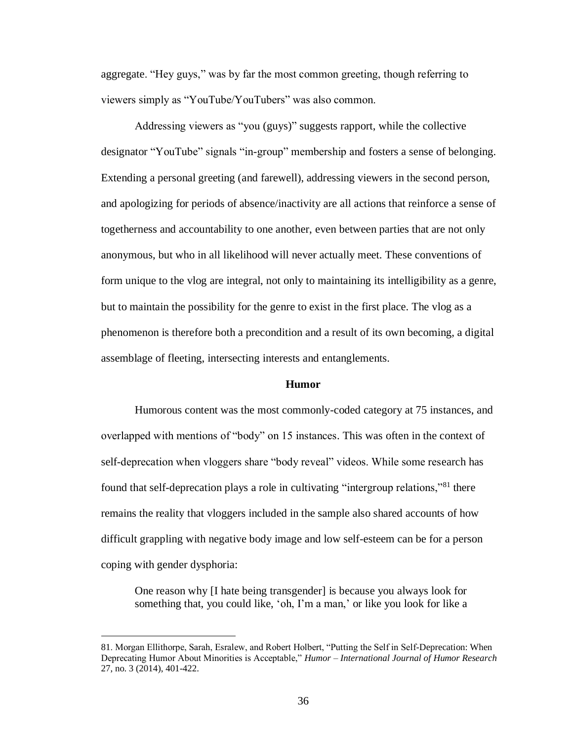aggregate. "Hey guys," was by far the most common greeting, though referring to viewers simply as "YouTube/YouTubers" was also common.

Addressing viewers as "you (guys)" suggests rapport, while the collective designator "YouTube" signals "in-group" membership and fosters a sense of belonging. Extending a personal greeting (and farewell), addressing viewers in the second person, and apologizing for periods of absence/inactivity are all actions that reinforce a sense of togetherness and accountability to one another, even between parties that are not only anonymous, but who in all likelihood will never actually meet. These conventions of form unique to the vlog are integral, not only to maintaining its intelligibility as a genre, but to maintain the possibility for the genre to exist in the first place. The vlog as a phenomenon is therefore both a precondition and a result of its own becoming, a digital assemblage of fleeting, intersecting interests and entanglements.

#### **Humor**

Humorous content was the most commonly-coded category at 75 instances, and overlapped with mentions of "body" on 15 instances. This was often in the context of self-deprecation when vloggers share "body reveal" videos. While some research has found that self-deprecation plays a role in cultivating "intergroup relations,"<sup>81</sup> there remains the reality that vloggers included in the sample also shared accounts of how difficult grappling with negative body image and low self-esteem can be for a person coping with gender dysphoria:

One reason why [I hate being transgender] is because you always look for something that, you could like, 'oh, I'm a man,' or like you look for like a

<sup>81.</sup> Morgan Ellithorpe, Sarah, Esralew, and Robert Holbert, "Putting the Self in Self-Deprecation: When Deprecating Humor About Minorities is Acceptable," *Humor – International Journal of Humor Research* 27, no. 3 (2014), 401-422.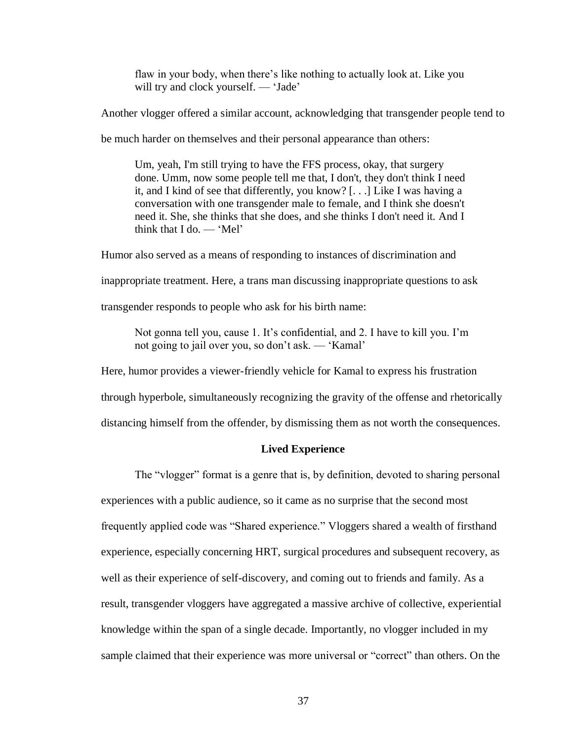flaw in your body, when there's like nothing to actually look at. Like you will try and clock yourself. — 'Jade'

Another vlogger offered a similar account, acknowledging that transgender people tend to

be much harder on themselves and their personal appearance than others:

Um, yeah, I'm still trying to have the FFS process, okay, that surgery done. Umm, now some people tell me that, I don't, they don't think I need it, and I kind of see that differently, you know? [. . .] Like I was having a conversation with one transgender male to female, and I think she doesn't need it. She, she thinks that she does, and she thinks I don't need it. And I think that I do. — 'Mel'

Humor also served as a means of responding to instances of discrimination and

inappropriate treatment. Here, a trans man discussing inappropriate questions to ask

transgender responds to people who ask for his birth name:

Not gonna tell you, cause 1. It's confidential, and 2. I have to kill you. I'm not going to jail over you, so don't ask. — 'Kamal'

Here, humor provides a viewer-friendly vehicle for Kamal to express his frustration

through hyperbole, simultaneously recognizing the gravity of the offense and rhetorically

distancing himself from the offender, by dismissing them as not worth the consequences.

#### **Lived Experience**

The "vlogger" format is a genre that is, by definition, devoted to sharing personal experiences with a public audience, so it came as no surprise that the second most frequently applied code was "Shared experience." Vloggers shared a wealth of firsthand experience, especially concerning HRT, surgical procedures and subsequent recovery, as well as their experience of self-discovery, and coming out to friends and family. As a result, transgender vloggers have aggregated a massive archive of collective, experiential knowledge within the span of a single decade. Importantly, no vlogger included in my sample claimed that their experience was more universal or "correct" than others. On the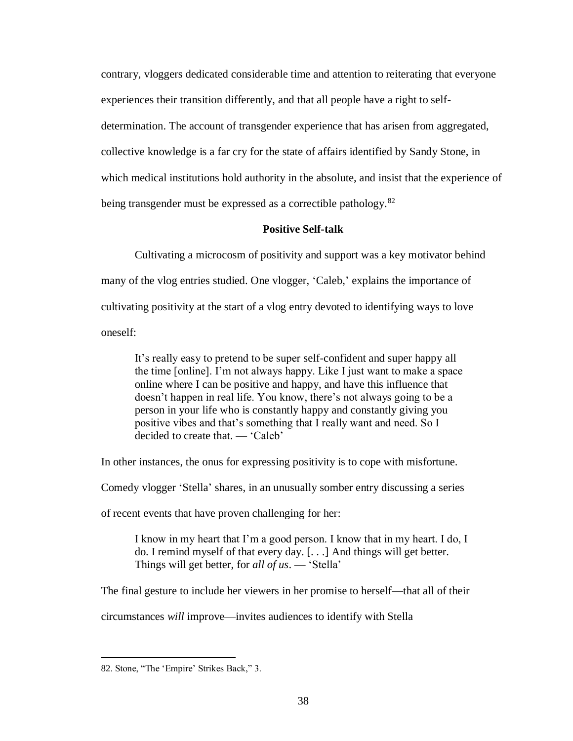contrary, vloggers dedicated considerable time and attention to reiterating that everyone experiences their transition differently, and that all people have a right to selfdetermination. The account of transgender experience that has arisen from aggregated, collective knowledge is a far cry for the state of affairs identified by Sandy Stone, in which medical institutions hold authority in the absolute, and insist that the experience of being transgender must be expressed as a correctible pathology.<sup>82</sup>

## **Positive Self-talk**

Cultivating a microcosm of positivity and support was a key motivator behind many of the vlog entries studied. One vlogger, 'Caleb,' explains the importance of cultivating positivity at the start of a vlog entry devoted to identifying ways to love oneself:

It's really easy to pretend to be super self-confident and super happy all the time [online]. I'm not always happy. Like I just want to make a space online where I can be positive and happy, and have this influence that doesn't happen in real life. You know, there's not always going to be a person in your life who is constantly happy and constantly giving you positive vibes and that's something that I really want and need. So I decided to create that. — 'Caleb'

In other instances, the onus for expressing positivity is to cope with misfortune.

Comedy vlogger 'Stella' shares, in an unusually somber entry discussing a series

of recent events that have proven challenging for her:

I know in my heart that I'm a good person. I know that in my heart. I do, I do. I remind myself of that every day. [. . .] And things will get better. Things will get better, for *all of us*. — 'Stella'

The final gesture to include her viewers in her promise to herself—that all of their

circumstances *will* improve—invites audiences to identify with Stella

<sup>82.</sup> Stone, "The 'Empire' Strikes Back," 3.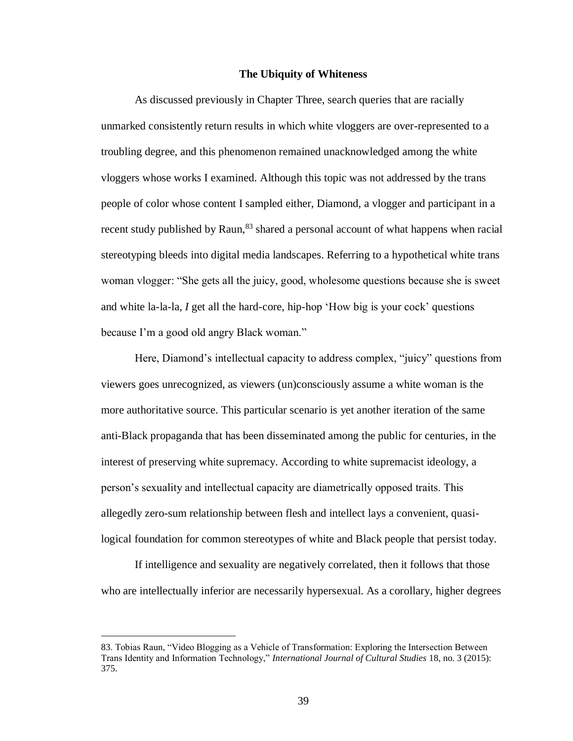#### **The Ubiquity of Whiteness**

As discussed previously in Chapter Three, search queries that are racially unmarked consistently return results in which white vloggers are over-represented to a troubling degree, and this phenomenon remained unacknowledged among the white vloggers whose works I examined. Although this topic was not addressed by the trans people of color whose content I sampled either, Diamond, a vlogger and participant in a recent study published by Raun,<sup>83</sup> shared a personal account of what happens when racial stereotyping bleeds into digital media landscapes. Referring to a hypothetical white trans woman vlogger: "She gets all the juicy, good, wholesome questions because she is sweet and white la-la-la, *I* get all the hard-core, hip-hop 'How big is your cock' questions because I'm a good old angry Black woman."

Here, Diamond's intellectual capacity to address complex, "juicy" questions from viewers goes unrecognized, as viewers (un)consciously assume a white woman is the more authoritative source. This particular scenario is yet another iteration of the same anti-Black propaganda that has been disseminated among the public for centuries, in the interest of preserving white supremacy. According to white supremacist ideology, a person's sexuality and intellectual capacity are diametrically opposed traits. This allegedly zero-sum relationship between flesh and intellect lays a convenient, quasilogical foundation for common stereotypes of white and Black people that persist today.

If intelligence and sexuality are negatively correlated, then it follows that those who are intellectually inferior are necessarily hypersexual. As a corollary, higher degrees

<sup>83.</sup> Tobias Raun, "Video Blogging as a Vehicle of Transformation: Exploring the Intersection Between Trans Identity and Information Technology," *International Journal of Cultural Studies* 18, no. 3 (2015): 375.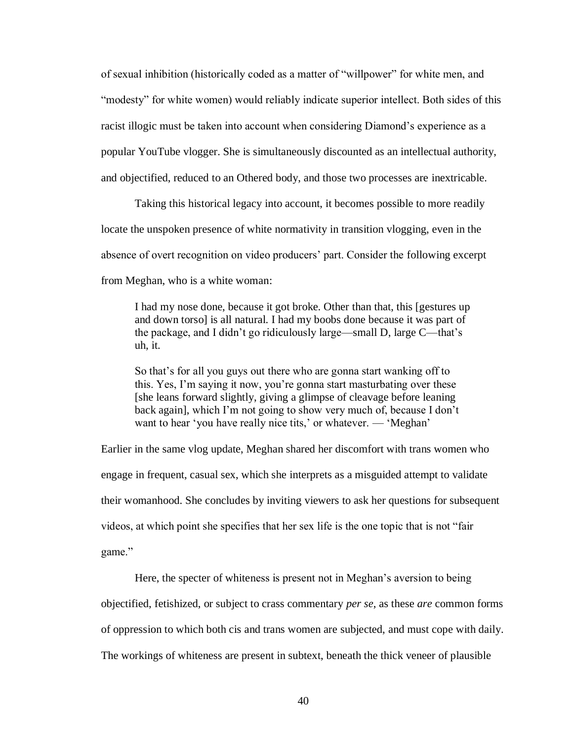of sexual inhibition (historically coded as a matter of "willpower" for white men, and "modesty" for white women) would reliably indicate superior intellect. Both sides of this racist illogic must be taken into account when considering Diamond's experience as a popular YouTube vlogger. She is simultaneously discounted as an intellectual authority, and objectified, reduced to an Othered body, and those two processes are inextricable.

Taking this historical legacy into account, it becomes possible to more readily locate the unspoken presence of white normativity in transition vlogging, even in the absence of overt recognition on video producers' part. Consider the following excerpt from Meghan, who is a white woman:

I had my nose done, because it got broke. Other than that, this [gestures up and down torso] is all natural. I had my boobs done because it was part of the package, and I didn't go ridiculously large—small D, large C—that's uh, it.

So that's for all you guys out there who are gonna start wanking off to this. Yes, I'm saying it now, you're gonna start masturbating over these [she leans forward slightly, giving a glimpse of cleavage before leaning back again], which I'm not going to show very much of, because I don't want to hear 'you have really nice tits,' or whatever. — 'Meghan'

Earlier in the same vlog update, Meghan shared her discomfort with trans women who engage in frequent, casual sex, which she interprets as a misguided attempt to validate their womanhood. She concludes by inviting viewers to ask her questions for subsequent videos, at which point she specifies that her sex life is the one topic that is not "fair game."

Here, the specter of whiteness is present not in Meghan's aversion to being objectified, fetishized, or subject to crass commentary *per se*, as these *are* common forms of oppression to which both cis and trans women are subjected, and must cope with daily. The workings of whiteness are present in subtext, beneath the thick veneer of plausible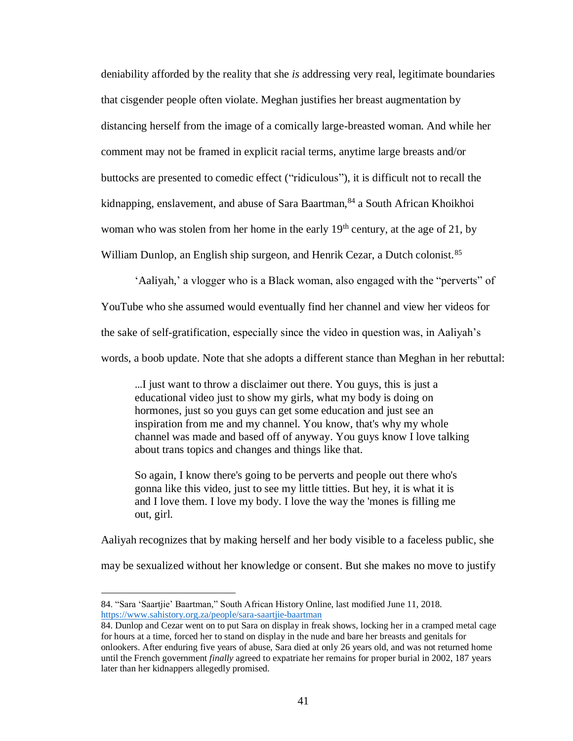deniability afforded by the reality that she *is* addressing very real, legitimate boundaries that cisgender people often violate. Meghan justifies her breast augmentation by distancing herself from the image of a comically large-breasted woman. And while her comment may not be framed in explicit racial terms, anytime large breasts and/or buttocks are presented to comedic effect ("ridiculous"), it is difficult not to recall the kidnapping, enslavement, and abuse of Sara Baartman, 84 a South African Khoikhoi woman who was stolen from her home in the early  $19<sup>th</sup>$  century, at the age of 21, by William Dunlop, an English ship surgeon, and Henrik Cezar, a Dutch colonist.<sup>85</sup>

'Aaliyah,' a vlogger who is a Black woman, also engaged with the "perverts" of YouTube who she assumed would eventually find her channel and view her videos for the sake of self-gratification, especially since the video in question was, in Aaliyah's words, a boob update. Note that she adopts a different stance than Meghan in her rebuttal:

…I just want to throw a disclaimer out there. You guys, this is just a educational video just to show my girls, what my body is doing on hormones, just so you guys can get some education and just see an inspiration from me and my channel. You know, that's why my whole channel was made and based off of anyway. You guys know I love talking about trans topics and changes and things like that.

So again, I know there's going to be perverts and people out there who's gonna like this video, just to see my little titties. But hey, it is what it is and I love them. I love my body. I love the way the 'mones is filling me out, girl.

Aaliyah recognizes that by making herself and her body visible to a faceless public, she may be sexualized without her knowledge or consent. But she makes no move to justify

<sup>84. &</sup>quot;Sara 'Saartjie' Baartman," South African History Online, last modified June 11, 2018. <https://www.sahistory.org.za/people/sara-saartjie-baartman>

<sup>84.</sup> Dunlop and Cezar went on to put Sara on display in freak shows, locking her in a cramped metal cage for hours at a time, forced her to stand on display in the nude and bare her breasts and genitals for onlookers. After enduring five years of abuse, Sara died at only 26 years old, and was not returned home until the French government *finally* agreed to expatriate her remains for proper burial in 2002, 187 years later than her kidnappers allegedly promised.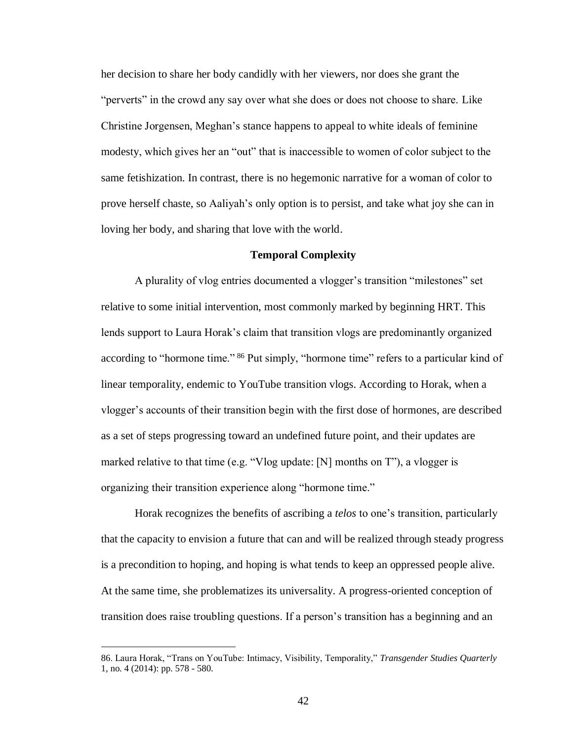her decision to share her body candidly with her viewers, nor does she grant the "perverts" in the crowd any say over what she does or does not choose to share. Like Christine Jorgensen, Meghan's stance happens to appeal to white ideals of feminine modesty, which gives her an "out" that is inaccessible to women of color subject to the same fetishization. In contrast, there is no hegemonic narrative for a woman of color to prove herself chaste, so Aaliyah's only option is to persist, and take what joy she can in loving her body, and sharing that love with the world.

#### **Temporal Complexity**

A plurality of vlog entries documented a vlogger's transition "milestones" set relative to some initial intervention, most commonly marked by beginning HRT. This lends support to Laura Horak's claim that transition vlogs are predominantly organized according to "hormone time." <sup>86</sup> Put simply, "hormone time" refers to a particular kind of linear temporality, endemic to YouTube transition vlogs. According to Horak, when a vlogger's accounts of their transition begin with the first dose of hormones, are described as a set of steps progressing toward an undefined future point, and their updates are marked relative to that time (e.g. "Vlog update:  $[N]$  months on T"), a vlogger is organizing their transition experience along "hormone time."

Horak recognizes the benefits of ascribing a *telos* to one's transition, particularly that the capacity to envision a future that can and will be realized through steady progress is a precondition to hoping, and hoping is what tends to keep an oppressed people alive. At the same time, she problematizes its universality. A progress-oriented conception of transition does raise troubling questions. If a person's transition has a beginning and an

<sup>86.</sup> Laura Horak, "Trans on YouTube: Intimacy, Visibility, Temporality," *Transgender Studies Quarterly* 1, no. 4 (2014): pp. 578 - 580.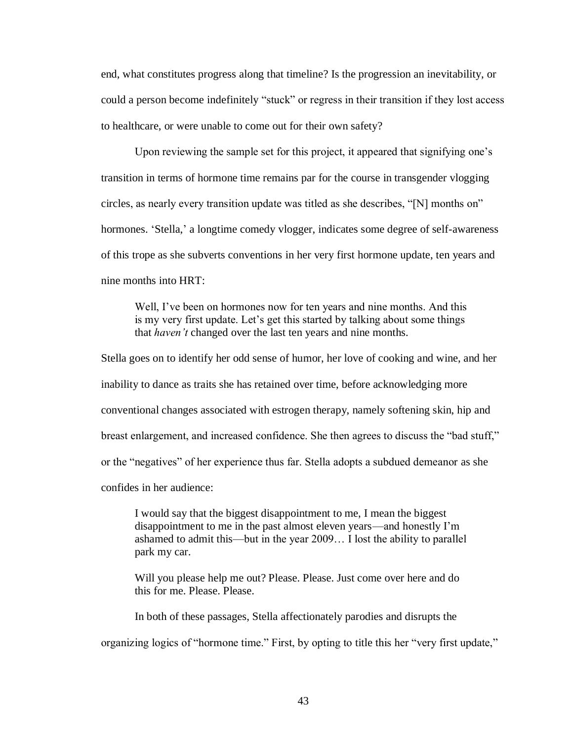end, what constitutes progress along that timeline? Is the progression an inevitability, or could a person become indefinitely "stuck" or regress in their transition if they lost access to healthcare, or were unable to come out for their own safety?

Upon reviewing the sample set for this project, it appeared that signifying one's transition in terms of hormone time remains par for the course in transgender vlogging circles, as nearly every transition update was titled as she describes, "[N] months on" hormones. 'Stella,' a longtime comedy vlogger, indicates some degree of self-awareness of this trope as she subverts conventions in her very first hormone update, ten years and nine months into HRT:

Well, I've been on hormones now for ten years and nine months. And this is my very first update. Let's get this started by talking about some things that *haven't* changed over the last ten years and nine months.

Stella goes on to identify her odd sense of humor, her love of cooking and wine, and her inability to dance as traits she has retained over time, before acknowledging more conventional changes associated with estrogen therapy, namely softening skin, hip and breast enlargement, and increased confidence. She then agrees to discuss the "bad stuff," or the "negatives" of her experience thus far. Stella adopts a subdued demeanor as she confides in her audience:

I would say that the biggest disappointment to me, I mean the biggest disappointment to me in the past almost eleven years—and honestly I'm ashamed to admit this—but in the year 2009… I lost the ability to parallel park my car.

Will you please help me out? Please. Please. Just come over here and do this for me. Please. Please.

In both of these passages, Stella affectionately parodies and disrupts the

organizing logics of "hormone time." First, by opting to title this her "very first update,"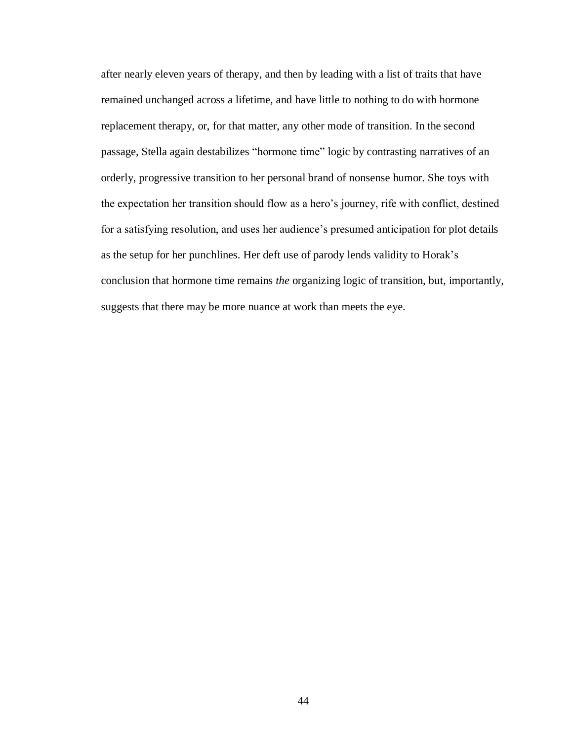after nearly eleven years of therapy, and then by leading with a list of traits that have remained unchanged across a lifetime, and have little to nothing to do with hormone replacement therapy, or, for that matter, any other mode of transition. In the second passage, Stella again destabilizes "hormone time" logic by contrasting narratives of an orderly, progressive transition to her personal brand of nonsense humor. She toys with the expectation her transition should flow as a hero's journey, rife with conflict, destined for a satisfying resolution, and uses her audience's presumed anticipation for plot details as the setup for her punchlines. Her deft use of parody lends validity to Horak's conclusion that hormone time remains *the* organizing logic of transition, but, importantly, suggests that there may be more nuance at work than meets the eye.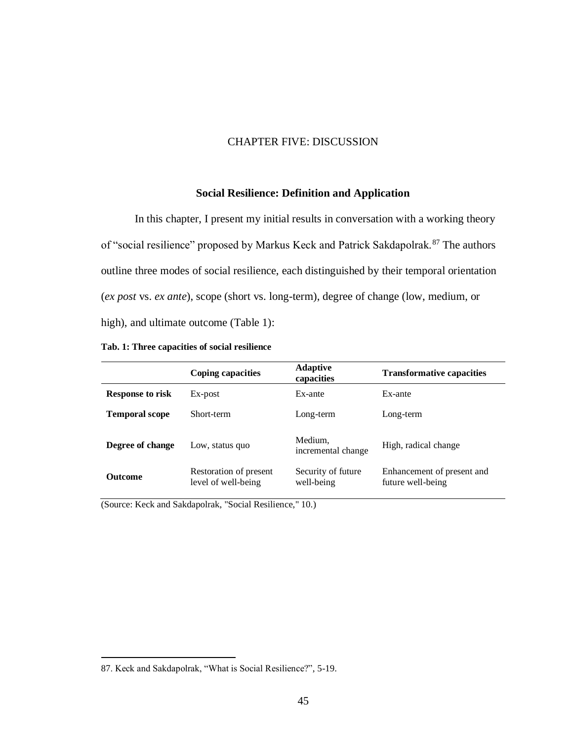## CHAPTER FIVE: DISCUSSION

## **Social Resilience: Definition and Application**

In this chapter, I present my initial results in conversation with a working theory of "social resilience" proposed by Markus Keck and Patrick Sakdapolrak.<sup>87</sup> The authors outline three modes of social resilience, each distinguished by their temporal orientation (*ex post* vs. *ex ante*), scope (short vs. long-term), degree of change (low, medium, or high), and ultimate outcome (Table 1):

|  |  | Tab. 1: Three capacities of social resilience |  |  |
|--|--|-----------------------------------------------|--|--|
|--|--|-----------------------------------------------|--|--|

|                         | Coping capacities                             | <b>Adaptive</b><br>capacities    | <b>Transformative capacities</b>                |
|-------------------------|-----------------------------------------------|----------------------------------|-------------------------------------------------|
| <b>Response to risk</b> | Ex-post                                       | Ex-ante                          | Ex-ante                                         |
| <b>Temporal scope</b>   | Short-term                                    | Long-term                        | Long-term                                       |
| Degree of change        | Low, status quo                               | Medium,<br>incremental change    | High, radical change                            |
| <b>Outcome</b>          | Restoration of present<br>level of well-being | Security of future<br>well-being | Enhancement of present and<br>future well-being |

(Source: Keck and Sakdapolrak, "Social Resilience," 10.)

<sup>87.</sup> Keck and Sakdapolrak, "What is Social Resilience?", 5-19.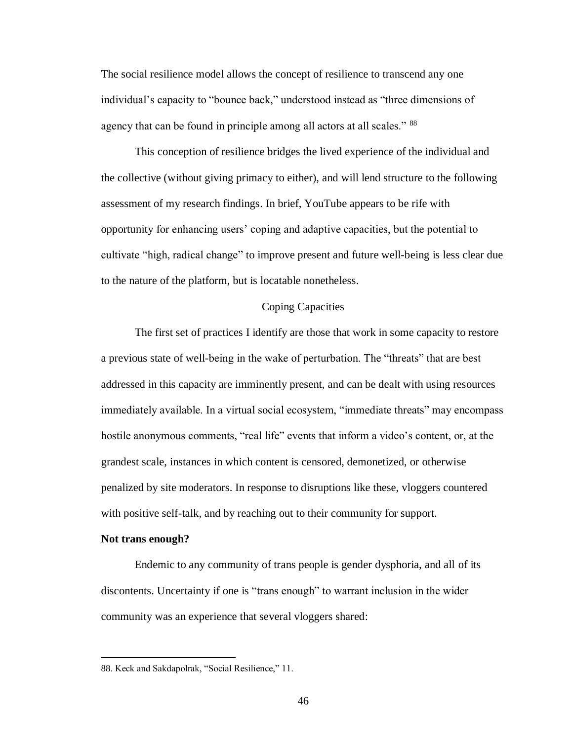The social resilience model allows the concept of resilience to transcend any one individual's capacity to "bounce back," understood instead as "three dimensions of agency that can be found in principle among all actors at all scales." <sup>88</sup>

This conception of resilience bridges the lived experience of the individual and the collective (without giving primacy to either), and will lend structure to the following assessment of my research findings. In brief, YouTube appears to be rife with opportunity for enhancing users' coping and adaptive capacities, but the potential to cultivate "high, radical change" to improve present and future well-being is less clear due to the nature of the platform, but is locatable nonetheless.

#### Coping Capacities

The first set of practices I identify are those that work in some capacity to restore a previous state of well-being in the wake of perturbation. The "threats" that are best addressed in this capacity are imminently present, and can be dealt with using resources immediately available. In a virtual social ecosystem, "immediate threats" may encompass hostile anonymous comments, "real life" events that inform a video's content, or, at the grandest scale, instances in which content is censored, demonetized, or otherwise penalized by site moderators. In response to disruptions like these, vloggers countered with positive self-talk, and by reaching out to their community for support.

## **Not trans enough?**

 $\overline{a}$ 

Endemic to any community of trans people is gender dysphoria, and all of its discontents. Uncertainty if one is "trans enough" to warrant inclusion in the wider community was an experience that several vloggers shared:

<sup>88.</sup> Keck and Sakdapolrak, "Social Resilience," 11.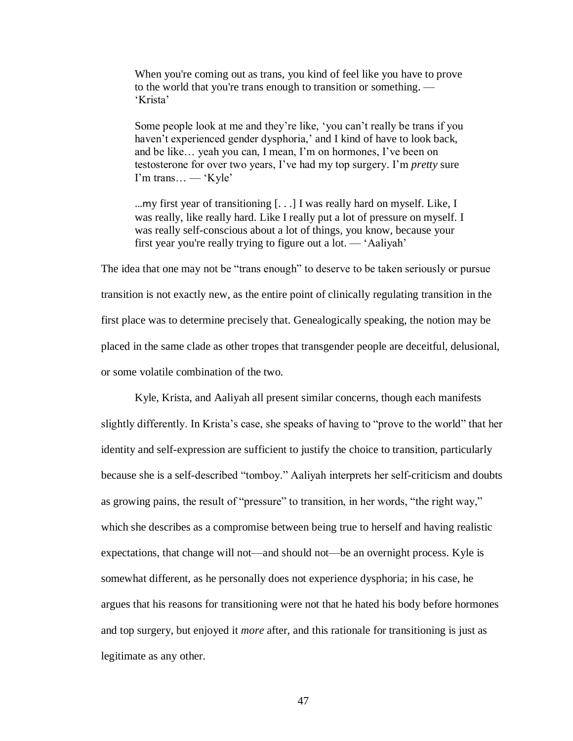When you're coming out as trans, you kind of feel like you have to prove to the world that you're trans enough to transition or something. — 'Krista'

Some people look at me and they're like, 'you can't really be trans if you haven't experienced gender dysphoria,' and I kind of have to look back, and be like… yeah you can, I mean, I'm on hormones, I've been on testosterone for over two years, I've had my top surgery. I'm *pretty* sure I'm trans… — 'Kyle'

…my first year of transitioning [. . .] I was really hard on myself. Like, I was really, like really hard. Like I really put a lot of pressure on myself. I was really self-conscious about a lot of things, you know, because your first year you're really trying to figure out a lot. — 'Aaliyah'

The idea that one may not be "trans enough" to deserve to be taken seriously or pursue transition is not exactly new, as the entire point of clinically regulating transition in the first place was to determine precisely that. Genealogically speaking, the notion may be placed in the same clade as other tropes that transgender people are deceitful, delusional, or some volatile combination of the two.

Kyle, Krista, and Aaliyah all present similar concerns, though each manifests slightly differently. In Krista's case, she speaks of having to "prove to the world" that her identity and self-expression are sufficient to justify the choice to transition, particularly because she is a self-described "tomboy." Aaliyah interprets her self-criticism and doubts as growing pains, the result of "pressure" to transition, in her words, "the right way," which she describes as a compromise between being true to herself and having realistic expectations, that change will not—and should not—be an overnight process. Kyle is somewhat different, as he personally does not experience dysphoria; in his case, he argues that his reasons for transitioning were not that he hated his body before hormones and top surgery, but enjoyed it *more* after, and this rationale for transitioning is just as legitimate as any other.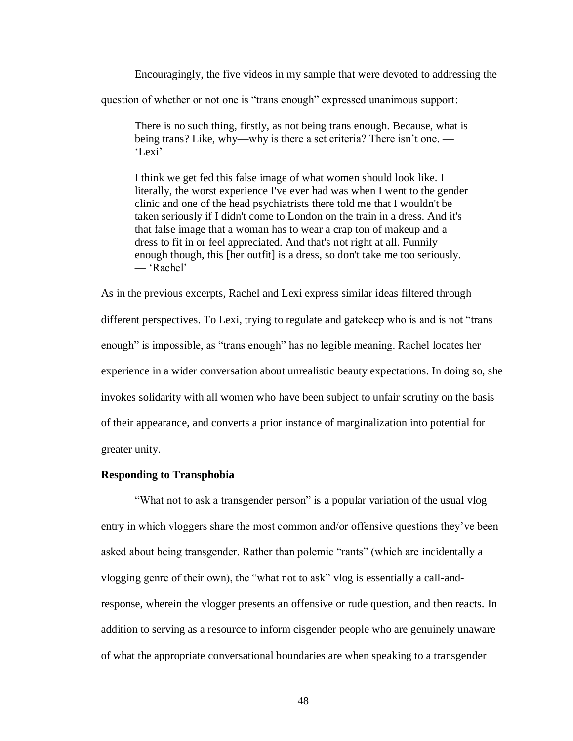Encouragingly, the five videos in my sample that were devoted to addressing the

question of whether or not one is "trans enough" expressed unanimous support:

There is no such thing, firstly, as not being trans enough. Because, what is being trans? Like, why—why is there a set criteria? There isn't one. — 'Lexi'

I think we get fed this false image of what women should look like. I literally, the worst experience I've ever had was when I went to the gender clinic and one of the head psychiatrists there told me that I wouldn't be taken seriously if I didn't come to London on the train in a dress. And it's that false image that a woman has to wear a crap ton of makeup and a dress to fit in or feel appreciated. And that's not right at all. Funnily enough though, this [her outfit] is a dress, so don't take me too seriously. — 'Rachel'

As in the previous excerpts, Rachel and Lexi express similar ideas filtered through different perspectives. To Lexi, trying to regulate and gatekeep who is and is not "trans enough" is impossible, as "trans enough" has no legible meaning. Rachel locates her experience in a wider conversation about unrealistic beauty expectations. In doing so, she invokes solidarity with all women who have been subject to unfair scrutiny on the basis of their appearance, and converts a prior instance of marginalization into potential for greater unity.

## **Responding to Transphobia**

"What not to ask a transgender person" is a popular variation of the usual vlog entry in which vloggers share the most common and/or offensive questions they've been asked about being transgender. Rather than polemic "rants" (which are incidentally a vlogging genre of their own), the "what not to ask" vlog is essentially a call-andresponse, wherein the vlogger presents an offensive or rude question, and then reacts. In addition to serving as a resource to inform cisgender people who are genuinely unaware of what the appropriate conversational boundaries are when speaking to a transgender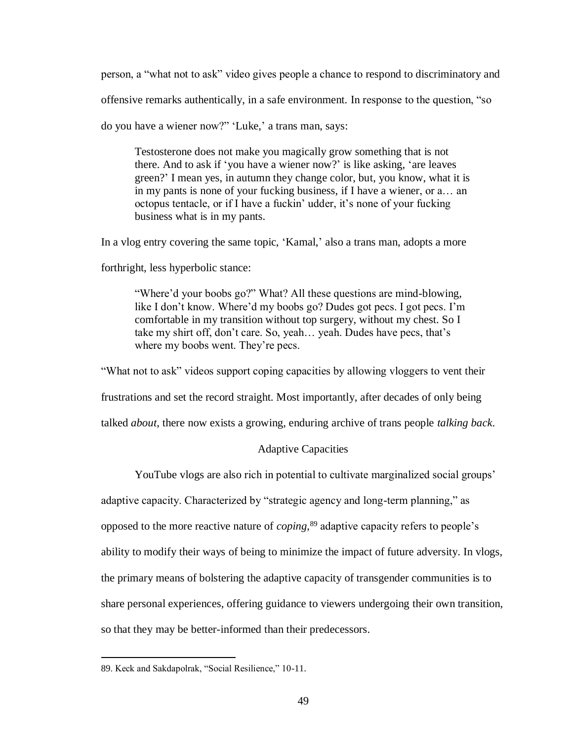person, a "what not to ask" video gives people a chance to respond to discriminatory and

offensive remarks authentically, in a safe environment. In response to the question, "so

do you have a wiener now?" 'Luke,' a trans man, says:

Testosterone does not make you magically grow something that is not there. And to ask if 'you have a wiener now?' is like asking, 'are leaves green?' I mean yes, in autumn they change color, but, you know, what it is in my pants is none of your fucking business, if I have a wiener, or a… an octopus tentacle, or if I have a fuckin' udder, it's none of your fucking business what is in my pants.

In a vlog entry covering the same topic, 'Kamal,' also a trans man, adopts a more

forthright, less hyperbolic stance:

"Where'd your boobs go?" What? All these questions are mind-blowing, like I don't know. Where'd my boobs go? Dudes got pecs. I got pecs. I'm comfortable in my transition without top surgery, without my chest. So I take my shirt off, don't care. So, yeah… yeah. Dudes have pecs, that's where my boobs went. They're pecs.

"What not to ask" videos support coping capacities by allowing vloggers to vent their

frustrations and set the record straight. Most importantly, after decades of only being

talked *about*, there now exists a growing, enduring archive of trans people *talking back*.

## Adaptive Capacities

YouTube vlogs are also rich in potential to cultivate marginalized social groups'

adaptive capacity. Characterized by "strategic agency and long-term planning," as

opposed to the more reactive nature of *coping*, <sup>89</sup> adaptive capacity refers to people's

ability to modify their ways of being to minimize the impact of future adversity. In vlogs,

the primary means of bolstering the adaptive capacity of transgender communities is to

share personal experiences, offering guidance to viewers undergoing their own transition,

so that they may be better-informed than their predecessors.

<sup>89.</sup> Keck and Sakdapolrak, "Social Resilience," 10-11.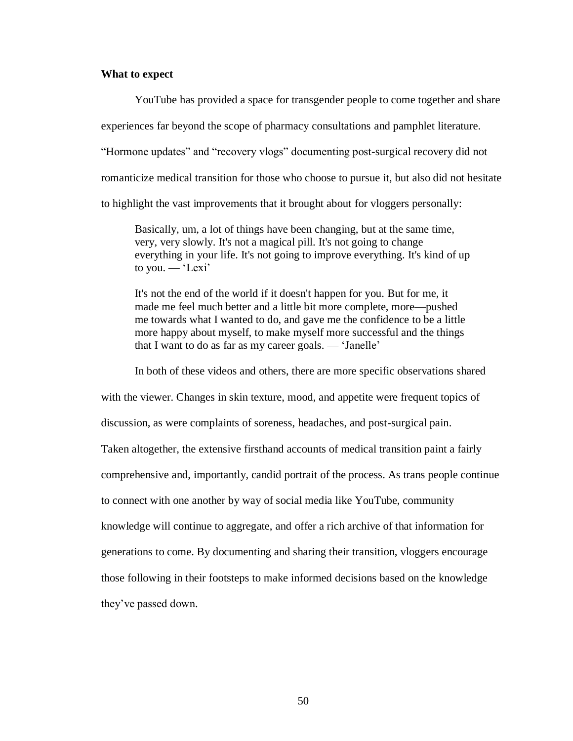## **What to expect**

YouTube has provided a space for transgender people to come together and share experiences far beyond the scope of pharmacy consultations and pamphlet literature. "Hormone updates" and "recovery vlogs" documenting post-surgical recovery did not romanticize medical transition for those who choose to pursue it, but also did not hesitate to highlight the vast improvements that it brought about for vloggers personally:

Basically, um, a lot of things have been changing, but at the same time, very, very slowly. It's not a magical pill. It's not going to change everything in your life. It's not going to improve everything. It's kind of up to you. — 'Lexi'

It's not the end of the world if it doesn't happen for you. But for me, it made me feel much better and a little bit more complete, more—pushed me towards what I wanted to do, and gave me the confidence to be a little more happy about myself, to make myself more successful and the things that I want to do as far as my career goals. — 'Janelle'

In both of these videos and others, there are more specific observations shared with the viewer. Changes in skin texture, mood, and appetite were frequent topics of discussion, as were complaints of soreness, headaches, and post-surgical pain. Taken altogether, the extensive firsthand accounts of medical transition paint a fairly comprehensive and, importantly, candid portrait of the process. As trans people continue to connect with one another by way of social media like YouTube, community knowledge will continue to aggregate, and offer a rich archive of that information for generations to come. By documenting and sharing their transition, vloggers encourage those following in their footsteps to make informed decisions based on the knowledge they've passed down.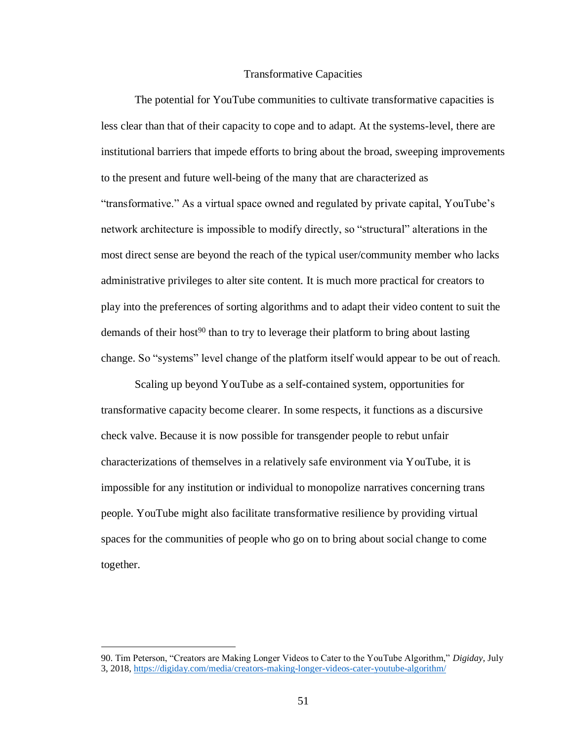### Transformative Capacities

The potential for YouTube communities to cultivate transformative capacities is less clear than that of their capacity to cope and to adapt. At the systems-level, there are institutional barriers that impede efforts to bring about the broad, sweeping improvements to the present and future well-being of the many that are characterized as "transformative." As a virtual space owned and regulated by private capital, YouTube's network architecture is impossible to modify directly, so "structural" alterations in the most direct sense are beyond the reach of the typical user/community member who lacks administrative privileges to alter site content. It is much more practical for creators to play into the preferences of sorting algorithms and to adapt their video content to suit the demands of their host<sup>90</sup> than to try to leverage their platform to bring about lasting change. So "systems" level change of the platform itself would appear to be out of reach.

Scaling up beyond YouTube as a self-contained system, opportunities for transformative capacity become clearer. In some respects, it functions as a discursive check valve. Because it is now possible for transgender people to rebut unfair characterizations of themselves in a relatively safe environment via YouTube, it is impossible for any institution or individual to monopolize narratives concerning trans people. YouTube might also facilitate transformative resilience by providing virtual spaces for the communities of people who go on to bring about social change to come together.

<sup>90.</sup> Tim Peterson, "Creators are Making Longer Videos to Cater to the YouTube Algorithm," *Digiday*, July 3, 2018,<https://digiday.com/media/creators-making-longer-videos-cater-youtube-algorithm/>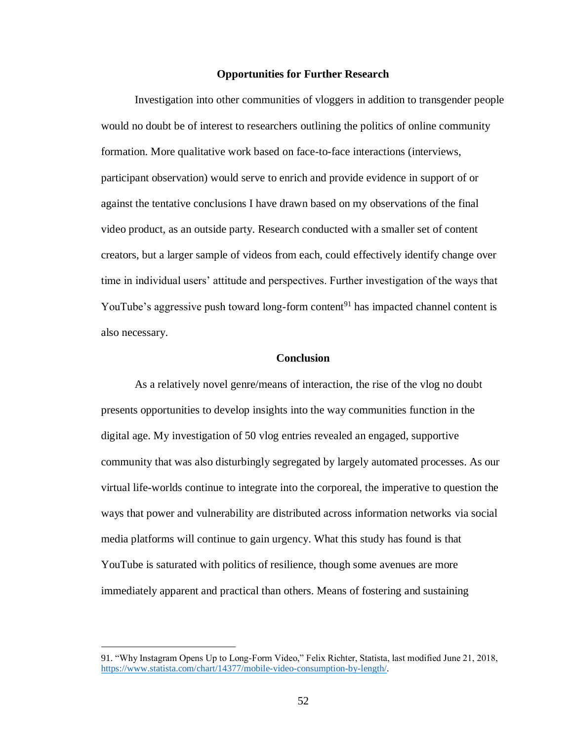#### **Opportunities for Further Research**

Investigation into other communities of vloggers in addition to transgender people would no doubt be of interest to researchers outlining the politics of online community formation. More qualitative work based on face-to-face interactions (interviews, participant observation) would serve to enrich and provide evidence in support of or against the tentative conclusions I have drawn based on my observations of the final video product, as an outside party. Research conducted with a smaller set of content creators, but a larger sample of videos from each, could effectively identify change over time in individual users' attitude and perspectives. Further investigation of the ways that YouTube's aggressive push toward long-form content<sup>91</sup> has impacted channel content is also necessary.

#### **Conclusion**

As a relatively novel genre/means of interaction, the rise of the vlog no doubt presents opportunities to develop insights into the way communities function in the digital age. My investigation of 50 vlog entries revealed an engaged, supportive community that was also disturbingly segregated by largely automated processes. As our virtual life-worlds continue to integrate into the corporeal, the imperative to question the ways that power and vulnerability are distributed across information networks via social media platforms will continue to gain urgency. What this study has found is that YouTube is saturated with politics of resilience, though some avenues are more immediately apparent and practical than others. Means of fostering and sustaining

 $\overline{\phantom{a}}$ 

<sup>91.</sup> "Why Instagram Opens Up to Long-Form Video," Felix Richter, Statista, last modified June 21, 2018, [https://www.statista.com/chart/14377/mobile-video-consumption-by-length/.](https://www.statista.com/chart/14377/mobile-video-consumption-by-length/)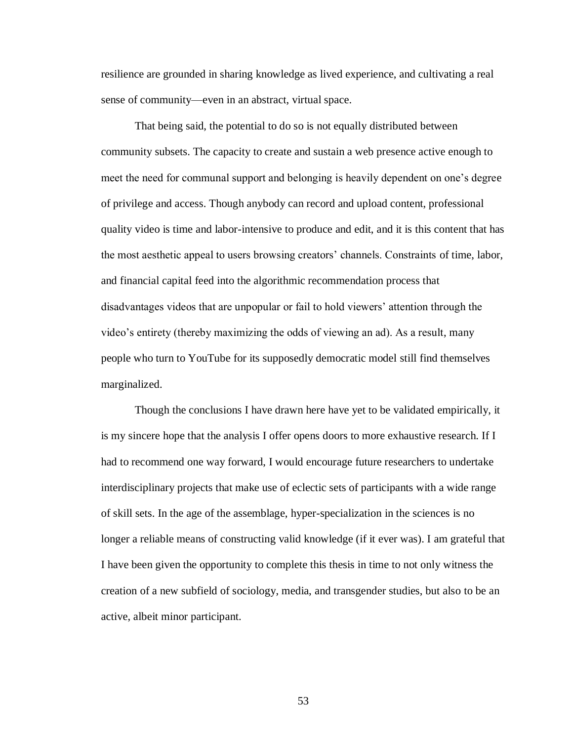resilience are grounded in sharing knowledge as lived experience, and cultivating a real sense of community—even in an abstract, virtual space.

That being said, the potential to do so is not equally distributed between community subsets. The capacity to create and sustain a web presence active enough to meet the need for communal support and belonging is heavily dependent on one's degree of privilege and access. Though anybody can record and upload content, professional quality video is time and labor-intensive to produce and edit, and it is this content that has the most aesthetic appeal to users browsing creators' channels. Constraints of time, labor, and financial capital feed into the algorithmic recommendation process that disadvantages videos that are unpopular or fail to hold viewers' attention through the video's entirety (thereby maximizing the odds of viewing an ad). As a result, many people who turn to YouTube for its supposedly democratic model still find themselves marginalized.

Though the conclusions I have drawn here have yet to be validated empirically, it is my sincere hope that the analysis I offer opens doors to more exhaustive research. If I had to recommend one way forward, I would encourage future researchers to undertake interdisciplinary projects that make use of eclectic sets of participants with a wide range of skill sets. In the age of the assemblage, hyper-specialization in the sciences is no longer a reliable means of constructing valid knowledge (if it ever was). I am grateful that I have been given the opportunity to complete this thesis in time to not only witness the creation of a new subfield of sociology, media, and transgender studies, but also to be an active, albeit minor participant.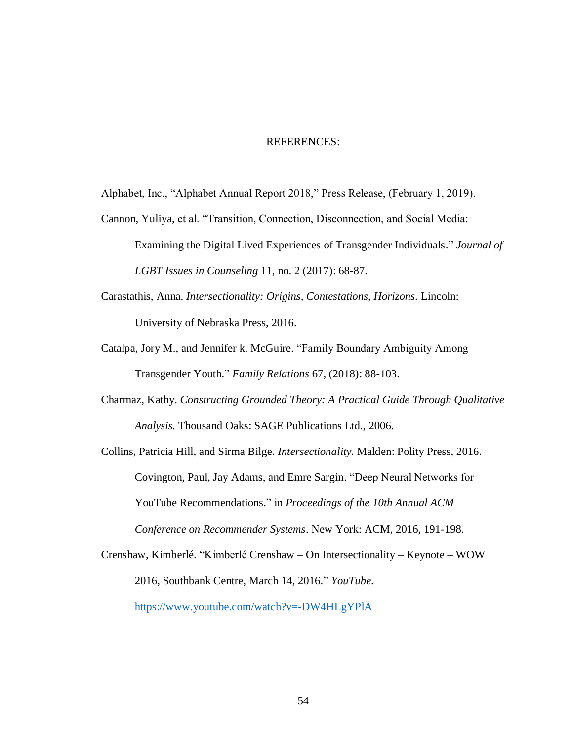#### REFERENCES:

Alphabet, Inc., "Alphabet Annual Report 2018," Press Release, (February 1, 2019).

- Cannon, Yuliya, et al. "Transition, Connection, Disconnection, and Social Media: Examining the Digital Lived Experiences of Transgender Individuals." *Journal of LGBT Issues in Counseling* 11, no. 2 (2017): 68-87.
- Carastathis, Anna. *Intersectionality: Origins, Contestations, Horizons.* Lincoln: University of Nebraska Press, 2016.
- Catalpa, Jory M., and Jennifer k. McGuire. "Family Boundary Ambiguity Among Transgender Youth." *Family Relations* 67, (2018): 88-103.
- Charmaz, Kathy. *Constructing Grounded Theory: A Practical Guide Through Qualitative Analysis.* Thousand Oaks: SAGE Publications Ltd., 2006.

Collins, Patricia Hill, and Sirma Bilge. *Intersectionality.* Malden: Polity Press, 2016. Covington, Paul, Jay Adams, and Emre Sargin. "Deep Neural Networks for YouTube Recommendations." in *Proceedings of the 10th Annual ACM Conference on Recommender Systems*. New York: ACM, 2016, 191-198.

Crenshaw, Kimberlé. "Kimberlé Crenshaw – On Intersectionality – Keynote – WOW 2016, Southbank Centre, March 14, 2016." *YouTube*.

<https://www.youtube.com/watch?v=-DW4HLgYPlA>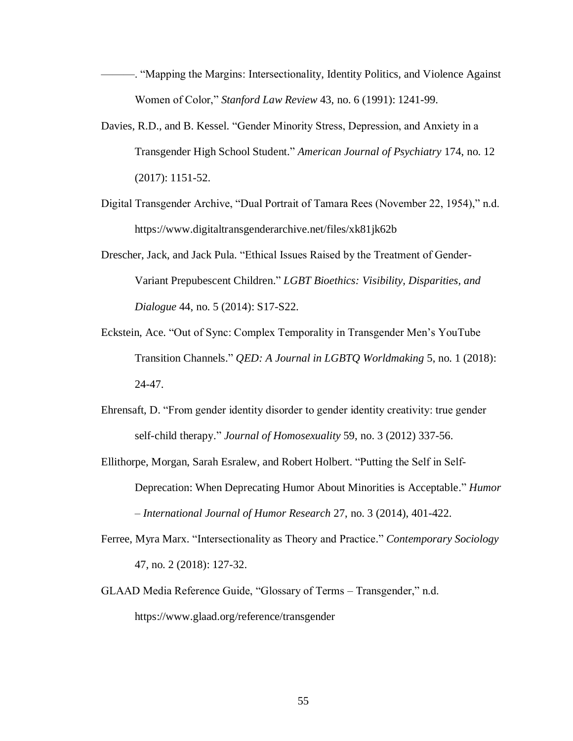- ———. "Mapping the Margins: Intersectionality, Identity Politics, and Violence Against Women of Color," *Stanford Law Review* 43, no. 6 (1991): 1241-99.
- Davies, R.D., and B. Kessel. "Gender Minority Stress, Depression, and Anxiety in a Transgender High School Student." *American Journal of Psychiatry* 174, no. 12 (2017): 1151-52.
- Digital Transgender Archive, "Dual Portrait of Tamara Rees (November 22, 1954)," n.d. https://www.digitaltransgenderarchive.net/files/xk81jk62b
- Drescher, Jack, and Jack Pula. "Ethical Issues Raised by the Treatment of Gender-Variant Prepubescent Children." *LGBT Bioethics: Visibility, Disparities, and Dialogue* 44, no. 5 (2014): S17-S22.
- Eckstein, Ace. "Out of Sync: Complex Temporality in Transgender Men's YouTube Transition Channels." *QED: A Journal in LGBTQ Worldmaking* 5, no. 1 (2018): 24-47.
- Ehrensaft, D. "From gender identity disorder to gender identity creativity: true gender self-child therapy." *Journal of Homosexuality* 59, no. 3 (2012) 337-56.
- Ellithorpe, Morgan, Sarah Esralew, and Robert Holbert. "Putting the Self in Self-Deprecation: When Deprecating Humor About Minorities is Acceptable." *Humor – International Journal of Humor Research* 27, no. 3 (2014), 401-422.
- Ferree, Myra Marx. "Intersectionality as Theory and Practice." *Contemporary Sociology* 47, no. 2 (2018): 127-32.
- GLAAD Media Reference Guide, "Glossary of Terms Transgender," n.d. https://www.glaad.org/reference/transgender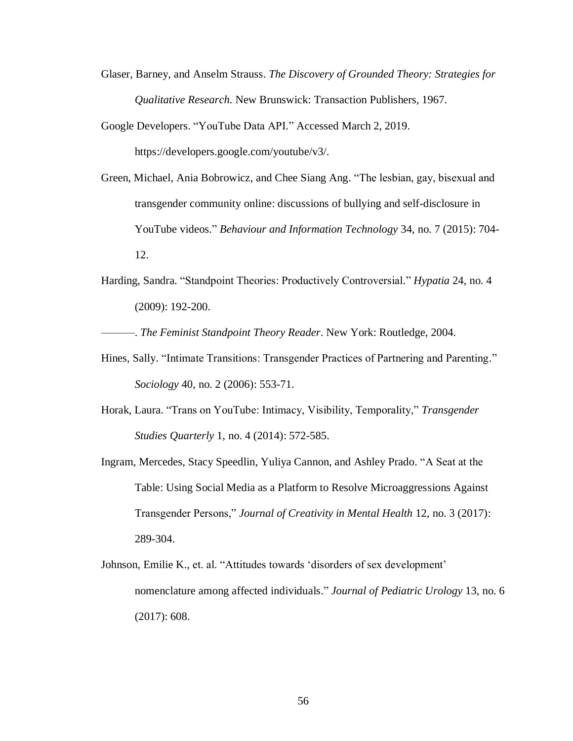- Glaser, Barney, and Anselm Strauss. *The Discovery of Grounded Theory: Strategies for Qualitative Research.* New Brunswick: Transaction Publishers, 1967.
- Google Developers. "YouTube Data API." Accessed March 2, 2019.

https://developers.google.com/youtube/v3/.

- Green, Michael, Ania Bobrowicz, and Chee Siang Ang. "The lesbian, gay, bisexual and transgender community online: discussions of bullying and self-disclosure in YouTube videos." *Behaviour and Information Technology* 34, no. 7 (2015): 704- 12.
- Harding, Sandra. "Standpoint Theories: Productively Controversial." *Hypatia* 24, no. 4 (2009): 192-200.

———. *The Feminist Standpoint Theory Reader*. New York: Routledge, 2004.

- Hines, Sally. "Intimate Transitions: Transgender Practices of Partnering and Parenting." *Sociology* 40, no. 2 (2006): 553-71.
- Horak, Laura. "Trans on YouTube: Intimacy, Visibility, Temporality," *Transgender Studies Quarterly* 1, no. 4 (2014): 572-585.
- Ingram, Mercedes, Stacy Speedlin, Yuliya Cannon, and Ashley Prado. "A Seat at the Table: Using Social Media as a Platform to Resolve Microaggressions Against Transgender Persons," *Journal of Creativity in Mental Health* 12, no. 3 (2017): 289-304.
- Johnson, Emilie K., et. al. "Attitudes towards 'disorders of sex development' nomenclature among affected individuals." *Journal of Pediatric Urology* 13, no. 6 (2017): 608.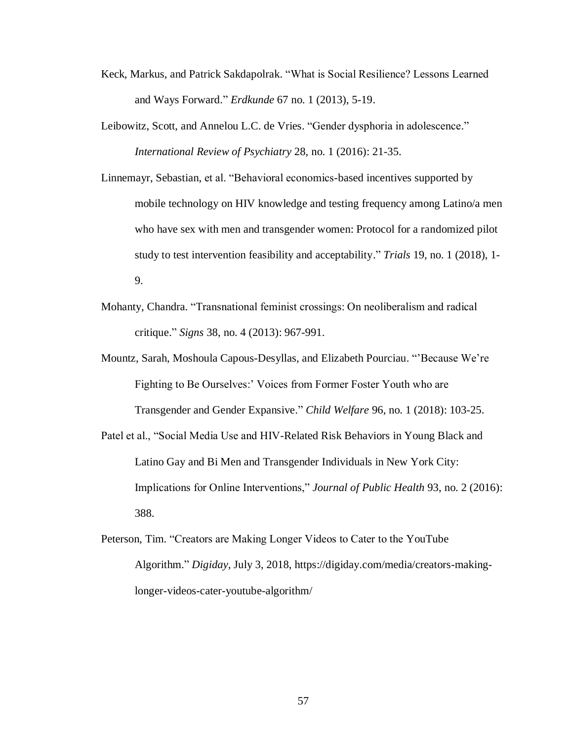- Keck, Markus, and Patrick Sakdapolrak. "What is Social Resilience? Lessons Learned and Ways Forward." *Erdkunde* 67 no. 1 (2013), 5-19.
- Leibowitz, Scott, and Annelou L.C. de Vries. "Gender dysphoria in adolescence." *International Review of Psychiatry* 28, no. 1 (2016): 21-35.
- Linnemayr, Sebastian, et al. "Behavioral economics-based incentives supported by mobile technology on HIV knowledge and testing frequency among Latino/a men who have sex with men and transgender women: Protocol for a randomized pilot study to test intervention feasibility and acceptability." *Trials* 19, no. 1 (2018), 1- 9.
- Mohanty, Chandra. "Transnational feminist crossings: On neoliberalism and radical critique." *Signs* 38, no. 4 (2013): 967-991.
- Mountz, Sarah, Moshoula Capous-Desyllas, and Elizabeth Pourciau. "'Because We're Fighting to Be Ourselves:' Voices from Former Foster Youth who are Transgender and Gender Expansive." *Child Welfare* 96, no. 1 (2018): 103-25.
- Patel et al., "Social Media Use and HIV-Related Risk Behaviors in Young Black and Latino Gay and Bi Men and Transgender Individuals in New York City: Implications for Online Interventions," *Journal of Public Health* 93, no. 2 (2016): 388.
- Peterson, Tim. "Creators are Making Longer Videos to Cater to the YouTube Algorithm." *Digiday*, July 3, 2018, https://digiday.com/media/creators-makinglonger-videos-cater-youtube-algorithm/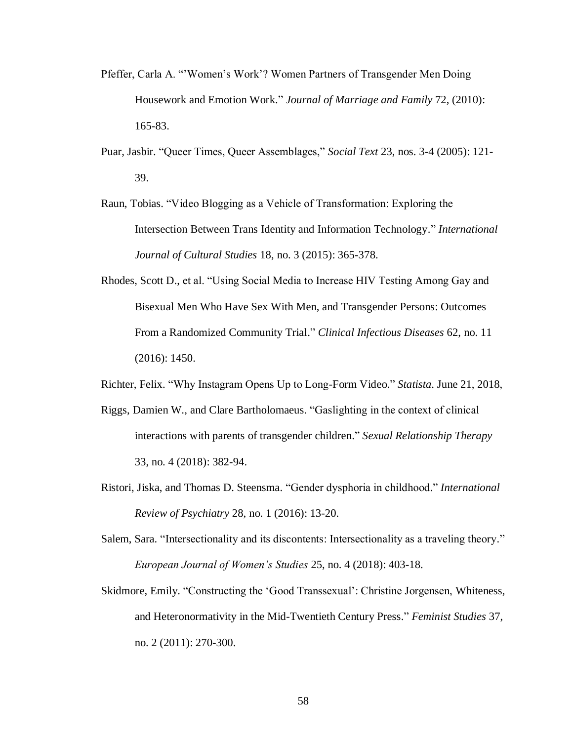- Pfeffer, Carla A. "'Women's Work'? Women Partners of Transgender Men Doing Housework and Emotion Work." *Journal of Marriage and Family* 72, (2010): 165-83.
- Puar, Jasbir. "Queer Times, Queer Assemblages," *Social Text* 23, nos. 3-4 (2005): 121- 39.
- Raun, Tobias. "Video Blogging as a Vehicle of Transformation: Exploring the Intersection Between Trans Identity and Information Technology." *International Journal of Cultural Studies* 18, no. 3 (2015): 365-378.
- Rhodes, Scott D., et al. "Using Social Media to Increase HIV Testing Among Gay and Bisexual Men Who Have Sex With Men, and Transgender Persons: Outcomes From a Randomized Community Trial." *Clinical Infectious Diseases* 62, no. 11 (2016): 1450.
- Richter, Felix. "Why Instagram Opens Up to Long-Form Video." *Statista*. June 21, 2018,
- Riggs, Damien W., and Clare Bartholomaeus. "Gaslighting in the context of clinical interactions with parents of transgender children." *Sexual Relationship Therapy*  33, no. 4 (2018): 382-94.
- Ristori, Jiska, and Thomas D. Steensma. "Gender dysphoria in childhood." *International Review of Psychiatry* 28, no. 1 (2016): 13-20.
- Salem, Sara. "Intersectionality and its discontents: Intersectionality as a traveling theory." *European Journal of Women's Studies* 25, no. 4 (2018): 403-18.
- Skidmore, Emily. "Constructing the 'Good Transsexual': Christine Jorgensen, Whiteness, and Heteronormativity in the Mid-Twentieth Century Press." *Feminist Studies* 37, no. 2 (2011): 270-300.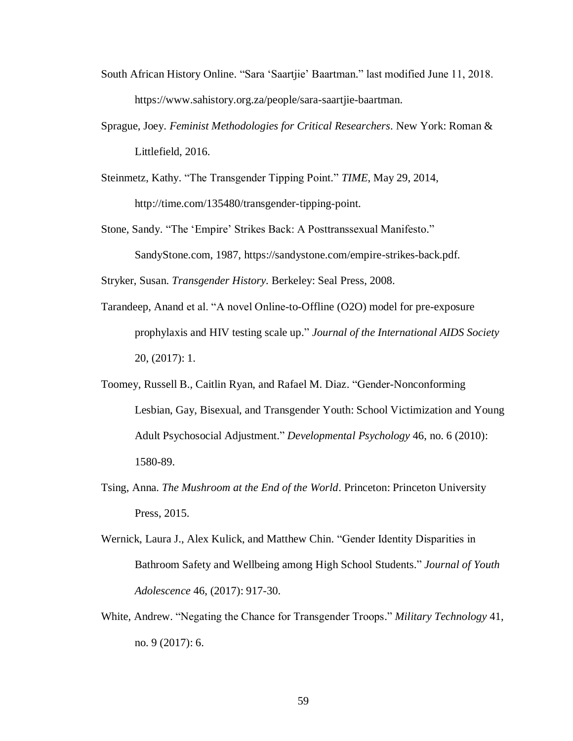- South African History Online. "Sara 'Saartjie' Baartman." last modified June 11, 2018. https://www.sahistory.org.za/people/sara-saartjie-baartman.
- Sprague, Joey. *Feminist Methodologies for Critical Researchers.* New York: Roman & Littlefield, 2016.
- Steinmetz, Kathy. "The Transgender Tipping Point." *TIME*, May 29, 2014, http://time.com/135480/transgender-tipping-point.
- Stone, Sandy. "The 'Empire' Strikes Back: A Posttranssexual Manifesto." SandyStone.com, 1987, https://sandystone.com/empire-strikes-back.pdf.

Stryker, Susan. *Transgender History.* Berkeley: Seal Press, 2008.

- Tarandeep, Anand et al. "A novel Online-to-Offline (O2O) model for pre-exposure prophylaxis and HIV testing scale up." *Journal of the International AIDS Society* 20, (2017): 1.
- Toomey, Russell B., Caitlin Ryan, and Rafael M. Diaz. "Gender-Nonconforming Lesbian, Gay, Bisexual, and Transgender Youth: School Victimization and Young Adult Psychosocial Adjustment." *Developmental Psychology* 46, no. 6 (2010): 1580-89.
- Tsing, Anna. *The Mushroom at the End of the World*. Princeton: Princeton University Press, 2015.
- Wernick, Laura J., Alex Kulick, and Matthew Chin. "Gender Identity Disparities in Bathroom Safety and Wellbeing among High School Students." *Journal of Youth Adolescence* 46, (2017): 917-30.
- White, Andrew. "Negating the Chance for Transgender Troops." *Military Technology* 41, no. 9 (2017): 6.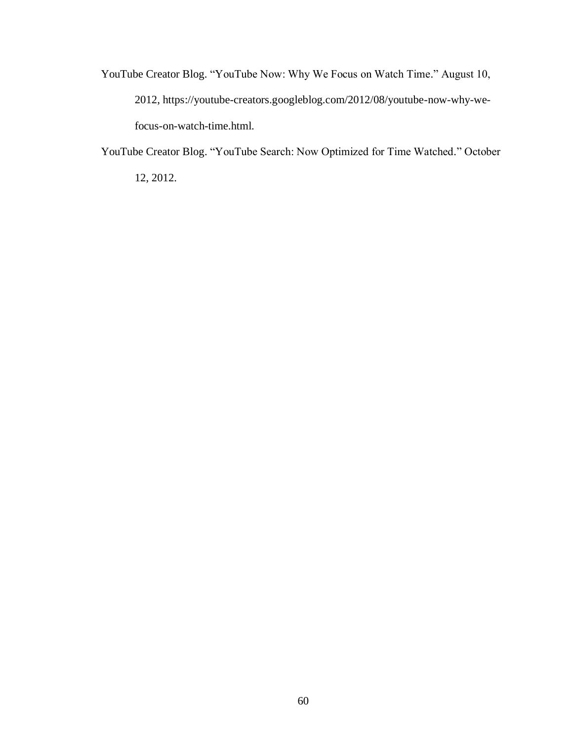YouTube Creator Blog. "YouTube Now: Why We Focus on Watch Time." August 10, 2012, https://youtube-creators.googleblog.com/2012/08/youtube-now-why-wefocus-on-watch-time.html.

YouTube Creator Blog. "YouTube Search: Now Optimized for Time Watched." October 12, 2012.